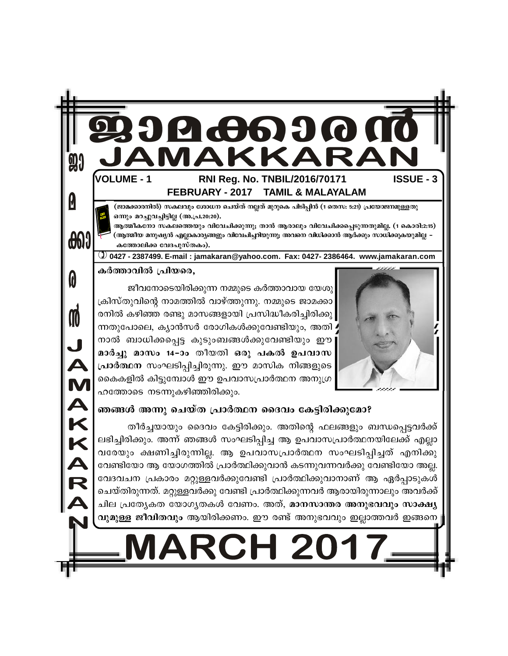

#### ഞങ്ങൾ അന്നു ചെയ്ത പ്രാർത്ഥന ദൈവം കേട്ടിരിക്കുമോ?

തീർച്ചയായും ദൈവം കേട്ടിരിക്കും. അതിന്റെ ഫലങ്ങളും ബന്ധപ്പെട്ടവർക്ക് ലഭിച്ചിരിക്കും. അന്ന് ഞങ്ങൾ സംഘടിപ്പിച്ച ആ ഉപവാസപ്രാർത്ഥനയിലേക്ക് എല്ലാ വരേയും ക്ഷണിച്ചിരുന്നില്ല. ആ ഉപവാസപ്രാർത്ഥന സംഘടിപ്പിച്ചത് എനിക്കു വേണ്ടിയോ ആ യോഗത്തിൽ പ്രാർത്ഥിക്കുവാൻ കടന്നുവന്നവർക്കു വേണ്ടിയോ അല്ല. വേദവചന പ്രകാരം മറ്റുള്ളവർക്കുവേണ്ടി പ്രാർത്ഥിക്കുവാനാണ് ആ ഏർപ്പാടുകൾ ചെയ്തിരുന്നത്. മറ്റുള്ളവർക്കു വേണ്ടി പ്രാർത്ഥിക്കുന്നവർ ആരായിരുന്നാലും അവർക്ക് ചില പ്രത്യേകത യോഗൃതകൾ വേണം. അത്, <mark>മാനസാന്തര അനുഭവവും സാക്ഷ്യ</mark> വുമുള്ള ജീവിതവും ആയിരിക്കണം. ഈ രണ്ട് അനുഭവവും ഇല്ലാത്തവർ ഇങ്ങനെ

# **ARCH 201**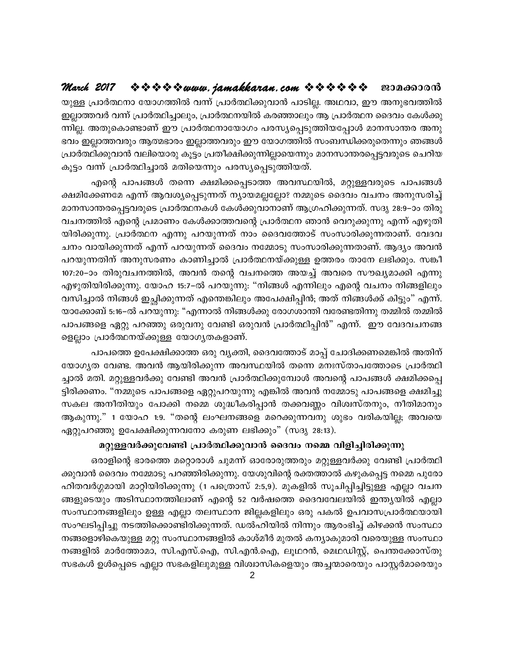യുള്ള പ്രാർത്ഥനാ യോഗത്തിൽ വന്ന് പ്രാർത്ഥിക്കുവാൻ പാടില്ല. അഥവാ, ഈ അനുഭവത്തിൽ ഇല്ലാത്തവർ വന്ന് പ്രാർത്ഥിച്ചാലും, പ്രാർത്ഥനയിൽ കരഞ്ഞാലും ആ പ്രാർത്ഥന ദൈവം കേൾക്കു ന്നില്ല. അതുകൊണ്ടാണ് ഈ പ്രാർത്ഥനായോഗം പരസ്യപ്പെടുത്തിയപ്പോൾ മാനസാന്തര അനു ഭവം ഇല്ലാത്തവരും ആത്മഭാരം ഇല്ലാത്തവരും ഈ യോഗത്തിൽ സംബന്ധിക്കരുതെന്നും ഞങ്ങൾ പ്രാർത്ഥിക്കുവാൻ വലിയൊരു കൂട്ടം പ്രതീക്ഷിക്കുന്നില്ലായെന്നും മാനസാന്തരപ്പെട്ടവരുടെ ചെറിയ കൂട്ടം വന്ന് പ്രാർത്ഥിച്ചാൽ മതിയെന്നും പരസ്യപ്പെടുത്തിയത്.

എന്റെ പാപങ്ങൾ തന്നെ ക്ഷമിക്കപ്പെടാത്ത അവസ്ഥയിൽ, മറ്റുള്ളവരുടെ പാപങ്ങൾ ക്ഷമിക്കേണമേ എന്ന് ആവശ്യപ്പെടുന്നത് ന്യായമല്ലല്ലോ? നമ്മുടെ ദൈവം വചനം അനുസരിച്ച് മാനസാന്തരപ്പെട്ടവരുടെ പ്രാർത്ഥനകൾ കേൾക്കുവാനാണ് ആഗ്രഹിക്കുന്നത്. സദൃ 28:9–ാം തിരു വചനത്തിൽ എന്റെ പ്രമാണം കേൾക്കാത്തവന്റെ പ്രാർത്ഥന ഞാൻ വെറുക്കുന്നു എന്ന് എഴുതി യിരിക്കുന്നു. പ്രാർത്ഥന എന്നു പറയുന്നത് നാം ദൈവത്തോട് സംസാരിക്കുന്നതാണ്. വേദവ ചനം വായിക്കുന്നത് എന്ന് പറയുന്നത് ദൈവം നമ്മോടു സംസാരിക്കുന്നതാണ്. ആദ്യം അവൻ പറയുന്നതിന് അനുസരണം കാണിച്ചാൽ പ്രാർത്ഥനയ്ക്കുള്ള ഉത്തരം താനേ ലഭിക്കും. സങ്കീ 107:20–ാം തിരുവചനത്തിൽ, അവൻ തന്റെ വചനത്തെ അയച്ച് അവരെ സൗഖ്യമാക്കി എന്നു എഴുതിയിരിക്കുന്നു. യോഹ 15:7–ൽ പറയുന്നു: "നിങ്ങൾ എന്നിലും എന്റെ വചനം നിങ്ങളിലും വസിച്ചാൽ നിങ്ങൾ ഇച്ഛിക്കുന്നത് എന്തെങ്കിലും അപേക്ഷിപ്പിൻ; അത് നിങ്ങൾക്ക് കിട്ടും" എന്ന്. യാക്കോബ് 5:16–ൽ പറയുന്നു: "എന്നാൽ നിങ്ങൾക്കു രോഗശാന്തി വരേണ്ടതിന്നു തമ്മിൽ തമ്മിൽ പാപങ്ങളെ ഏറ്റു പറഞ്ഞു ഒരുവനു വേണ്ടി ഒരുവൻ പ്രാർത്ഥിപ്പിൻ" എന്ന്. ഈ വേദവചനങ്ങ ളെല്ലാം പ്രാർത്ഥനയ്ക്കുള്ള യോഗൃതകളാണ്.

പാപത്തെ ഉപേക്ഷിക്കാത്ത ഒരു വൃക്തി, ദൈവത്തോട് മാപ്പ് ചോദിക്കണമെങ്കിൽ അതിന് യോഗ്യത വേണ്ട. അവൻ ആയിരിക്കുന്ന അവസ്ഥയിൽ തന്നെ മനഃസ്താപത്തോടെ പ്രാർത്ഥി ച്ചാൽ മതി. മറ്റുള്ളവർക്കു വേണ്ടി അവൻ പ്രാർത്ഥിക്കുമ്പോൾ അവന്റെ പാപങ്ങൾ ക്ഷമിക്കപ്പെ ട്ടിരിക്കണം. "നമ്മുടെ പാപങ്ങളെ ഏറ്റുപറയുന്നു എങ്കിൽ അവൻ നമ്മോടു പാപങ്ങളെ ക്ഷമിച്ചു സകല അനീതിയും പോക്കി നമ്മെ ശുദ്ധീകരിപ്പാൻ തക്കവണ്ണം വിശ്വസ്തനും, നീതിമാനും ആകുന്നു." 1 യോഹ 1:9. "തന്റെ ലംഘനങ്ങളെ മറെക്കുന്നവനു ശുഭം വരികയില്ല; അവയെ ഏറ്റുപറഞ്ഞു ഉപേക്ഷിക്കുന്നവനോ കരുണ ലഭിക്കും" (സദൃ 28:13).

#### മറ്റുള്ളവർക്കുവേണ്ടി പ്രാർത്ഥിക്കുവാൻ ദൈവം നമ്മെ വിളിച്ചിരിക്കുന്നു

ഒരാളിന്റെ ഭാരത്തെ മറ്റൊരാൾ ചുമന്ന് ഓരോരുത്തരും മറ്റുള്ളവർക്കു വേണ്ടി പ്രാർത്ഥി ക്കുവാൻ ദൈവം നമ്മോടു പറഞ്ഞിരിക്കുന്നു. യേശുവിന്റെ രക്തത്താൽ കഴുകപ്പെട്ട നമ്മെ പുരോ ഹിതവർഗ്ഗമായി മാറ്റിയിരിക്കുന്നു (1 പത്രൊസ് 2:5,9). മുകളിൽ സൂചിപ്പിച്ചിട്ടുള്ള എല്ലാ വചന ങ്ങളുടെയും അടിസ്ഥാനത്തിലാണ് എന്റെ 52 വർഷത്തെ ദൈവവേലയിൽ ഇന്ത്യയിൽ എല്ലാ സംസ്ഥാനങ്ങളിലും ഉള്ള എല്ലാ തലസ്ഥാന ജില്ലകളിലും ഒരു പകൽ ഉപവാസപ്രാർത്ഥയായി സംഘടിപ്പിച്ചു നടത്തിക്കൊണ്ടിരിക്കുന്നത്. ഡൽഹിയിൽ നിന്നും ആരംഭിച്ച് കിഴക്കൻ സംസ്ഥാ നങ്ങളൊഴികെയുള്ള മറ്റു സംസ്ഥാനങ്ങളിൽ കാശ്മീർ മുതൽ കന്യാകുമാരി വരെയുള്ള സംസ്ഥാ നങ്ങളിൽ മാർത്തോമാ, സി.എസ്.ഐ, സി.എൻ.ഐ, ലൂഥറൻ, മെഥഡിസ്റ്റ്, പെന്തക്കോസ്തു സഭകൾ ഉൾപ്പെടെ എല്ലാ സഭകളിലുമുള്ള വിശ്വാസികളെയും അച്ചന്മാരെയും പാസ്റ്റർമാരെയും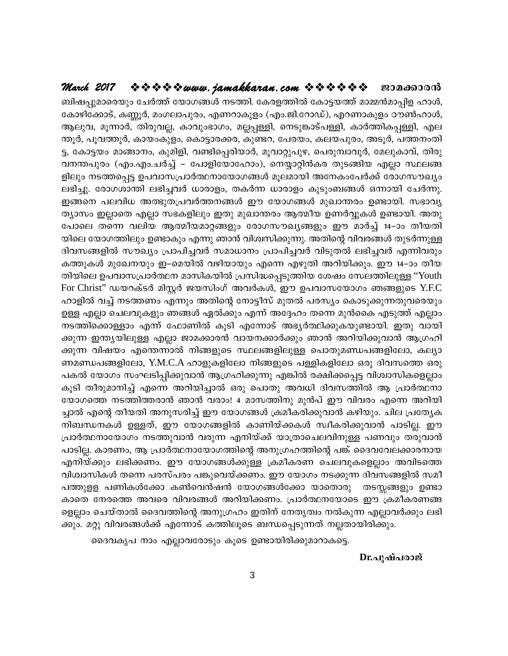#### \*\*\*\*\*\*\* www.jamakkaran.com \*\*\*\*\*\*\* March 2017 ജാമക്കാരൻ

ബിഷപ്പുമാരെയും ചേർത്ത് യോഗങ്ങൾ നടത്തി. കേരളത്തിൽ കോട്ടയത്ത് മാമ്മൻമാപ്പിള ഹാൾ, കോഴിക്കോട്, കണ്ണൂർ, മംഗലാപുരം, എണറാകുളം (എം.ജി.റോഡ്), എറണാകുളം ഠൗൺഹാൾ, ആലുവ, മൂന്നാർ, തിരുവല്ല, കാവുംഭാഗം, മല്ലപ്പള്ളി, നെടുങ്കാട്പള്ളി, കാർത്തികപ്പള്ളി, എല ന്തൂർ, പൂവത്തൂർ, കായംകുളം, കൊട്ടാരക്കര, കുണ്ടറ, പേരയം, കലയപുരം, അടൂർ, പത്തനംതി ട്ട, കോട്ടയം മാങ്ങാനം, കുമിളി, വണ്ടിപ്പെരിയാർ, മൂവാറ്റുപുഴ, പെരുമ്പാവൂർ, മേലുകാവ്, തിരു വനന്തപുരം (എം.എം.ചർച്ച് – പോളിയോഹോം), നെയ്യാറ്റിൻകര തുടങ്ങിയ എല്ലാ സ്ഥലങ്ങ ളിലും നടത്തപ്പെട്ട ഉപവാസപ്രാർത്ഥനായോഗങ്ങൾ മൂലമായി അനേകംപേർക്ക് രോഗസൗഖ്യം ലഭിച്ചു. രോഗശാന്തി ലഭിച്ചവർ ധാരാളം, തകർന്ന ധാരാളം കുടുംബങ്ങൾ ഒന്നായി ചേർന്നു. . ഇങ്ങനെ പലവിധ അത്ഭുതപ്രവർത്തനങ്ങൾ ഈ യോഗങ്ങൾ മുഖാന്തരം ഉണ്ടായി. സഭാവ്യ ത്യാസം ഇല്ലാതെ എല്ലാ സഭകളിലും ഇതു മുഖാന്തരം ആത്മീയ ഉണർവ്വുകൾ ഉണ്ടായി. അതു പോലെ തന്നെ വലിയ ആത്മീയമാറ്റങ്ങളും രോഗസൗഖ്യങ്ങളും ഈ മാർച്ച് 14–ാം തീയതി യിലെ യോഗത്തിലും ഉണ്ടാകും എന്നു ഞാൻ വിശ്വസിക്കുന്നു. അതിന്റെ വിവരങ്ങൾ തുടർന്നുള്ള ദിവസങ്ങളിൽ സൗഖ്യം പ്രാപിച്ചവർ സമാധാനം പ്രാപിച്ചവർ വിടുതൽ ലഭിച്ചവർ എന്നിവരും കത്തുകൾ മുഖേനയും ഇ–മെയിൽ വഴിയായും എന്നെ എഴുതി അറിയിക്കും. ഈ 14–ാം തീയ തിയിലെ ഉപവാസപ്രാർത്ഥന മാസികയിൽ പ്രസിദ്ധപ്പെടുത്തിയ ശേഷം സേലത്തിലുള്ള ''Youth For Christ" ഡയറക്ടർ മിസ്റ്റർ ജയസിംഗ് അവർകൾ, ഈ ഉപവാസയോഗം ഞങ്ങളുടെ Y.F.C ഹാളിൽ വച്ച് നടത്തണം എന്നും അതിന്റെ നോട്ടീസ് മുതൽ പരസ്യം കൊടുക്കുന്നതുവരെയും 'ഉള്ള എല്ലാ ചെലവുകളും ഞങ്ങൾ ഏൽക്കും എന്ന് അദ്ദേഹം തന്നെ മുൻകൈ എടുത്ത് എല്ലാം നടത്തിക്കൊള്ളാം എന്ന് ഫോണിൽ കൂടി എന്നോട് അഭ്യർത്ഥിക്കുകയുണ്ടായി. ഇതു വായി ക്കുന്ന ഇന്ത്യയിലുള്ള എല്ലാ ജാമക്കാരൻ വായനക്കാർക്കും ഞാൻ അറിയിക്കുവാൻ ആഗ്രഹി ക്കുന്ന വിഷയം എന്തെന്നാൽ നിങ്ങളുടെ സ്ഥലങ്ങളിലുള്ള പൊതുമണ്ഡപങ്ങളിലോ, കല്യാ ണമണ്ഡപങ്ങളിലോ, Y.M.C.A ഹാളുകളിലോ നിങ്ങളുടെ പള്ളികളിലോ ഒരു ദിവസത്തെ ഒരു പകൽ യോഗം സംഘടിപ്പിക്കുവാൻ ആഗ്രഹിക്കുന്നു എങ്കിൽ രക്ഷിക്കപ്പെട്ട വിശ്വാസികളെല്ലാം കുടി തീരുമാനിച്ച് എന്നെ അറിയിച്ചാൽ ഒരു പൊതു അവധി ദിവസത്തിൽ ആ പ്രാർത്ഥനാ യോഗത്തെ നടത്തിത്തരാൻ ഞാൻ വരാം! 4 മാസത്തിനു മുൻപ് ഈ വിവരം എന്നെ അറിയി ച്ചാൽ എന്റെ തീയതി അനുസരിച്ച് ഈ യോഗങ്ങൾ ക്രമീകരിക്കുവാൻ കഴിയും. ചില പ്രത്യേക നിബന്ധനകൾ ഉള്ളത്, ഈ യോഗങ്ങളിൽ കാണിയ്ക്കകൾ സ്വീകരിക്കുവാൻ പാടില്ല. ഈ പ്രാർത്ഥനായോഗം നടത്തുവാൻ വരുന്ന എനിയ്ക്ക് യാത്രാചെലവിനുള്ള പണവും തരുവാൻ ്പാടില്ല. കാരണം, ആ പ്രാർത്ഥനായോഗത്തിന്റെ അനുഗ്രഹത്തിന്റെ പങ്ക് ദൈവവേലക്കാരനായ .എനിയ്ക്കും ലഭിക്കണം. ഈ യോഗങ്ങൾക്കുള്ള ക്രമീകരണ ചെലവുകളെല്ലാം അവിടത്തെ വിശ്വാസികൾ തന്നെ പരസ്പരം പങ്കുവെയ്ക്കണം. ഈ യോഗം നടക്കുന്ന ദിവസങ്ങളിൽ സമീ പത്തുള്ള പണികൾക്കോ കൺവെൻഷൻ യോഗങ്ങൾക്കോ യാതൊരു തടസ്സങ്ങളും ഉണ്ടാ കാതെ നേരത്തെ അവരെ വിവരങ്ങൾ അറിയിക്കണം. പ്രാർത്ഥനയോടെ ഈ ക്രമീകരണങ്ങ ളെല്ലാം ചെയ്താൽ ദൈവത്തിന്റെ അനുഗ്രഹം ഇതിന് നേതൃത്വം നൽകുന്ന എല്ലാവർക്കും ലഭി ക്കും. മറ്റു വിവരങ്ങൾക്ക് എന്നോട് കത്തിലൂടെ ബന്ധപ്പെടുന്നത് നല്ലതായിരിക്കും.

ദൈവകൃപ നാം എല്ലാവരോടും കൂടെ ഉണ്ടായിരിക്കുമാറാകട്ടെ.

Dr.പുഷ്പരാജ്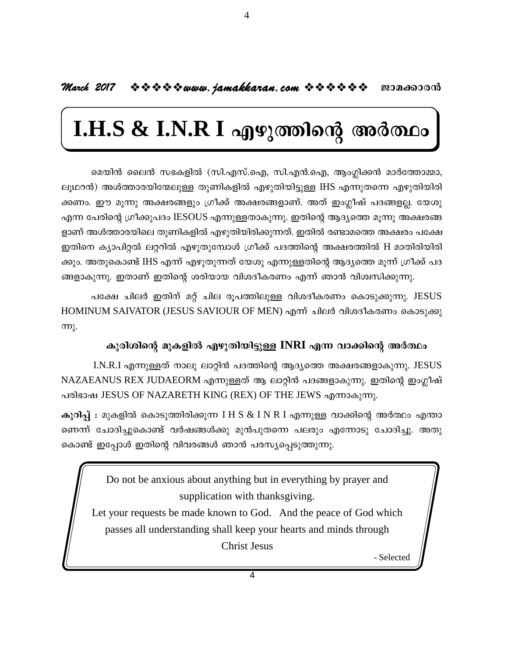#### March 2017  $\Rightarrow$   $\Rightarrow$   $\Rightarrow$   $\Rightarrow$   $\Rightarrow$  www.jamakkaran.com  $\Rightarrow$   $\Rightarrow$   $\Rightarrow$   $\Rightarrow$   $\Rightarrow$   $\Rightarrow$   $\Rightarrow$  0000000000

4

## $I.H.S & I.N.R I$  എഴുത്തിന്റെ അർത്ഥം

മെയിൻ ലൈൻ സഭകളിൽ (സി.എസ്.ഐ, സി.എൻ.ഐ, ആംഗ്ലിക്കൻ മാർത്തോമ്മാ, ലുഥറൻ) അൾത്താരയിന്മേലുള്ള തുണികളിൽ എഴുതിയിട്ടുള്ള IHS എന്നുതന്നെ എഴുതിയിരി ക്കണം. ഈ മുന്നു അക്ഷരങ്ങളും ഗ്രീക്ക് അക്ഷരങ്ങളാണ്. അത് ഇംഗ്ലീഷ് പദങ്ങളല്ല. യേശു എന്ന പേരിന്റെ ഗ്രീക്കുപദം IESOUS എന്നുള്ളതാകുന്നു. ഇതിന്റെ ആദ്യത്തെ മൂന്നു അക്ഷരങ്ങ ളാണ് അൾത്താരയിലെ തുണികളിൽ എഴുതിയിരിക്കുന്നത്. ഇതിൽ രണ്ടാമത്തെ അക്ഷരം പക്ഷേ ഇതിനെ ക്യാപിറ്റൽ ലറ്ററിൽ എഴുതുമ്പോൾ ഗ്രീക്ക് പദത്തിന്റെ അക്ഷരത്തിൽ H മാതിരിയിരി ക്കും. അതുകൊണ്ട് IHS എന്ന് എഴുതുന്നത് യേശു എന്നുള്ളതിന്റെ ആദ്യത്തെ മുന്ന് ഗ്രീക്ക് പദ ങ്ങളാകുന്നു. ഇതാണ് ഇതിന്റെ ശരിയായ വിശദീകരണം എന്ന് ഞാൻ വിശ്വസിക്കുന്നു.

പക്ഷേ ചിലർ ഇതിന് മറ്റ് ചില രൂപത്തിലുള്ള വിശദീകരണം കൊടുക്കുന്നു. JESUS HOMINUM SAIVATOR (JESUS SAVIOUR OF MEN) എന്ന് ചിലർ വിശദീകരണം കൊടുക്കു  $m<sub>λ</sub>$ .

#### കുരിശിന്റെ മുകളിൽ എഴുതിയിട്ടുള്ള INRI എന്ന വാക്കിന്റെ അർത്ഥം

 $I.N.R.I$  എന്നുള്ളത് നാലു ലാറ്റിൻ പദത്തിന്റെ ആദ്യത്തെ അക്ഷരങ്ങളാകുന്നു. JESUS NAZAEANUS REX JUDAEORM എന്നുള്ളത് ആ ലാറ്റിൻ പദങ്ങളാകുന്നു. ഇതിന്റെ ഇംഗ്ലീഷ് പരിഭാഷ JESUS OF NAZARETH KING (REX) OF THE JEWS എന്നാകുന്നു.

കുറിപ്പ് : മുകളിൽ കൊടുത്തിരിക്കുന്ന  $I H S \& I N R I$  എന്നുള്ള വാക്കിന്റെ അർത്ഥം എന്താ ണെന്ന് ചോദിച്ചുകൊണ്ട് വർഷങ്ങൾക്കു മുൻപുതന്നെ പലരും എന്നോടു ചോദിച്ചു. അതു കൊണ്ട് ഇപ്പോൾ ഇതിന്റെ വിവരങ്ങൾ ഞാൻ പരസ്യപ്പെടുത്തുന്നു.

> Do not be anxious about anything but in everything by prayer and supplication with thanksgiving.

Let your requests be made known to God. And the peace of God which passes all understanding shall keep your hearts and minds through **Christ Jesus** 

- Selected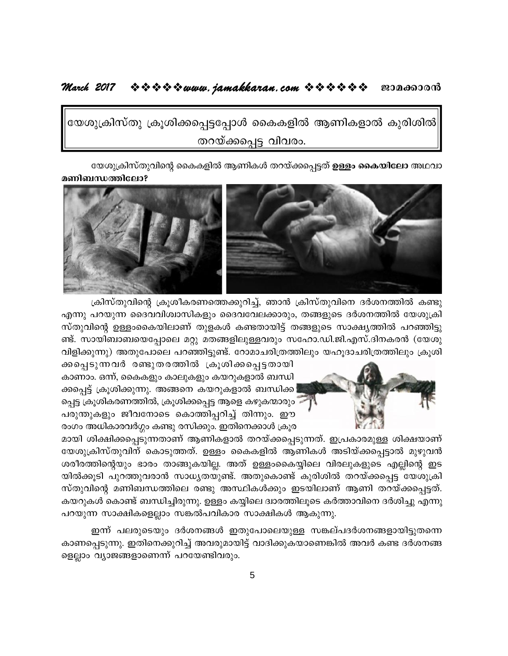#### 

യേശുക്രിസ്തു ക്രൂശിക്കപ്പെട്ടപ്പോൾ കൈകളിൽ ആണികളാൽ കുരിശിൽ $\big|$ തറയ്ക്കപ്പെട്ട വിവരം.

യേശുക്രിസ്തുവിന്റെ കൈകളിൽ ആണികൾ തറയ്ക്കപ്പെട്ടത് <mark>ഉള്ളം കൈയിലോ</mark> അഥവാ

മണിബന്ധത്തിലോ?



ക്രിസ്തുവിന്റെ ക്രൂശീകരണത്തെക്കുറിച്ച്, ഞാൻ ക്രിസ്തുവിനെ ദർശനത്തിൽ കണ്ടു എന്നു പറയുന്ന ദൈവവിശ്വാസികളും ദൈവവേലക്കാരും, തങ്ങളുടെ ദർശനത്തിൽ യേശുക്രി സ്തുവിന്റെ ഉള്ളംകൈയിലാണ് തുളകൾ കണ്ടതായിട്ട് തങ്ങളുടെ സാക്ഷ്യത്തിൽ പറഞ്ഞിട്ടു ണ്ട്. സായിബാബയെപ്പോലെ മറ്റു മതങ്ങളിലുള്ളവരും സഹോ.ഡി.ജി.എസ്.ദിനകരൻ (യേശു വിളിക്കുന്നു) അതുപോലെ പറഞ്ഞിട്ടുണ്ട്. റോമാചരിത്രത്തിലും യഹുദാചരിത്രത്തിലും ക്രുശി



ക്കപ്പെടുന്നവർ രണ്ടുതരത്തിൽ ക്രൂശിക്കപ്പെട്ടതായി കാണാം. ഒന്ന്, കൈകളും കാലുകളും കയറുകളാൽ ബന്ധി ക്കപ്പെട്ട് ക്രൂശിക്കുന്നു. അങ്ങനെ കയറുകളാൽ ബന്ധിക്ക പ്പെട്ട ക്രൂശികരണത്തിൽ, ക്രൂശിക്കപ്പെട്ട ആളെ കഴുകന്മാരും പരുന്തുകളും ജീവനോടെ കൊത്തിപ്പറിച്ച് തിന്നും. ഈ രംഗം അധികാരവർഗ്ഗം കണ്ടു രസിക്കും. ഇതിനെക്കാൾ ക്രൂര

മായി ശിക്ഷിക്കപ്പെടുന്നതാണ് ആണികളാൽ തറയ്ക്കപ്പെടുന്നത്. ഇപ്രകാരമുള്ള ശിക്ഷയാണ് യേശുക്രിസ്തുവിന് കൊടുത്തത്. ഉള്ളം കൈകളിൽ ആണികൾ അടിയ്ക്കപ്പെട്ടാൽ മുഴുവൻ ശരീരത്തിന്റെയും ഭാരം താങ്ങുകയില്ല. അത് ഉള്ളംകൈയ്യിലെ വിരലുകളുടെ എല്ലിന്റെ ഇട യിൽക്കൂടി പുറത്തുവരാൻ സാധ്യതയുണ്ട്. അതുകൊണ്ട് കുരിശിൽ തറയ്ക്കപ്പെട്ട യേശുക്രി സ്തുവിന്റെ മണിബന്ധത്തിലെ രണ്ടു അസ്ഥികൾക്കും ഇടയിലാണ് ആണി തറയ്ക്കപ്പെട്ടത്. കയറുകൾ കൊണ്ട് ബന്ധിച്ചിരുന്നു. ഉള്ളം കയ്യിലെ ദ്വാരത്തിലൂടെ കർത്താവിനെ ദർശിച്ചു എന്നു പറയുന്ന സാക്ഷികളെല്ലാം സങ്കൽപവികാര സാക്ഷികൾ ആകുന്നു.

ഇന്ന് പലരുടെയും ദർശനങ്ങൾ ഇതുപോലെയുള്ള സങ്കല്പദർശനങ്ങളായിട്ടുതന്നെ കാണപ്പെടുന്നു. ഇതിനെക്കുറിച്ച് അവരുമായിട്ട് വാദിക്കുകയാണെങ്കിൽ അവർ കണ്ട ദർശനങ്ങ ളെല്ലാം വ്യാജങ്ങളാണെന്ന് പറയേണ്ടിവരും.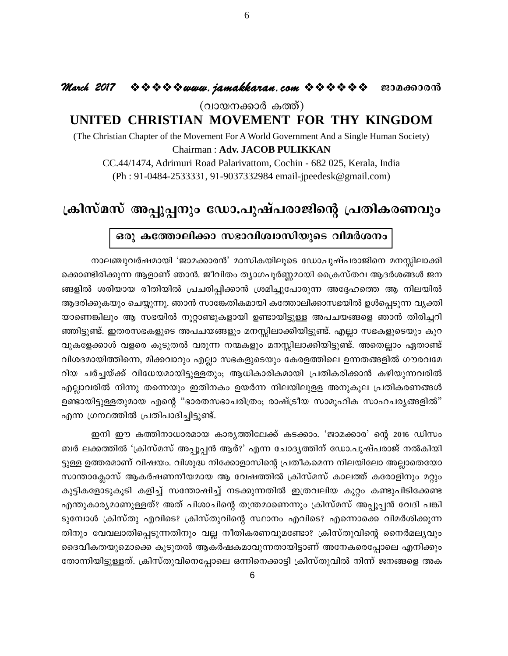#### ◆◆◆◆◆◆*www.jamakkaran.com ◆◆◆◆◆◆* ◆ ● æэда6ээоൻ March 2017

(വായനക്കാർ കത്ത്)

#### UNITED CHRISTIAN MOVEMENT FOR THY KINGDOM

(The Christian Chapter of the Movement For A World Government And a Single Human Society)

#### Chairman: Adv. JACOB PULIKKAN

CC.44/1474, Adrimuri Road Palarivattom, Cochin - 682 025, Kerala, India (Ph: 91-0484-2533331, 91-9037332984 email-jpeedesk@gmail.com)

### ക്രിസ്മസ് അപ്പൂപ്പനും ഡോ.പുഷ്പരാജിന്റെ പ്രതികരണവും

#### ഒരു കത്തോലിക്കാ സഭാവിശ്വാസിയുടെ വിമർശനം

നാലഞ്ചുവർഷമായി 'ജാമക്കാരൻ' മാസികയിലൂടെ ഡോപുഷ്പരാജിനെ മനസ്സിലാക്കി ക്കൊണ്ടിരിക്കുന്ന ആളാണ് ഞാൻ. ജീവിതം ത്യാഗപൂർണ്ണമായി ക്രൈസ്തവ ആദർശങ്ങൾ ജന ങ്ങളിൽ ശരിയായ രീതിയിൽ പ്രചരിപ്പിക്കാൻ ശ്രമിച്ചുപോരുന്ന അദ്ദേഹത്തെ ആ നിലയിൽ ആദരിക്കുകയും ചെയ്യുന്നു. ഞാൻ സാങ്കേതികമായി കത്തോലിക്കാസഭയിൽ ഉൾപ്പെടുന്ന വൃക്തി യാണെങ്കിലും ആ സഭയിൽ നൂറ്റാണ്ടുകളായി ഉണ്ടായിട്ടുള്ള അപചയങ്ങളെ ഞാൻ തിരിച്ചറി ഞ്ഞിട്ടുണ്ട്. ഇതരസഭകളുടെ അപചയങ്ങളും മനസ്സിലാക്കിയിട്ടുണ്ട്. എല്ലാ സഭകളുടെയും കുറ വുകളേക്കാൾ വളരെ കൂടുതൽ വരുന്ന നന്മകളും മനസ്സിലാക്കിയിട്ടുണ്ട്. അതെല്ലാം ഏതാണ്ട് വിശദമായിത്തിന്നെ, മിക്കവാറും എല്ലാ സഭകളുടെയും കേരളത്തിലെ ഉന്നതങ്ങളിൽ ഗൗരവമേ റിയ ചർച്ചയ്ക്ക് വിധേയമായിട്ടുള്ളതും; ആധികാരികമായി പ്രതികരിക്കാൻ കഴിയുന്നവരിൽ എല്ലാവരിൽ നിന്നു തന്നെയും ഇതിനകം ഉയർന്ന നിലയിലുളള അനുകൂല പ്രതികരണങ്ങൾ ഉണ്ടായിട്ടുള്ളതുമായ എന്റെ "ഭാരതസഭാചരിത്രം; രാഷ്ട്രീയ സാമൂഹിക സാഹചര്യങ്ങളിൽ" എന്ന ഗ്രന്ഥത്തിൽ പ്രതിപാദിച്ചിട്ടുണ്ട്.

ഇനി ഈ കത്തിനാധാരമായ കാര്യത്തിലേക്ക് കടക്കാം. 'ജാമക്കാര' ന്റെ 2016 ഡിസം ബർ ലക്കത്തിൽ 'ക്രിസ്മസ് അപ്പൂപ്പൻ ആര്?' എന്ന ചോദൃത്തിന് ഡോ.പുഷ്പരാജ് നൽകിയി ട്ടുള്ള ഉത്തരമാണ് വിഷയം. വിശുദ്ധ നിക്കോളാസിന്റെ പ്രതീകമെന്ന നിലയിലോ അല്ലാതെയോ സാന്താക്ലോസ് ആകർഷണനീയമായ ആ വേഷത്തിൽ ക്രിസ്മസ് കാലത്ത് കരോളിനും മറ്റും കുട്ടികളോടുകൂടി കളിച്ച് സന്തോഷിച്ച് നടക്കുന്നതിൽ ഇത്രവലിയ കുറ്റം കണ്ടുപിടിക്കേണ്ട എന്തുകാര്യമാണുള്ളത്? അത് പിശാചിന്റെ തന്ത്രമാണെന്നും ക്രിസ്മസ് അപ്പൂപ്പൻ വേദി പങ്കി ടുമ്പോൾ ക്രിസ്തു എവിടെ? ക്രിസ്തുവിന്റെ സ്ഥാനം എവിടെ? എന്നൊക്കെ വിമർശിക്കുന്ന തിനും വേവലാതിപ്പെടുന്നതിനും വല്ല നീതികരണവുമണ്ടോ? ക്രിസ്തുവിന്റെ നൈർമല്യവും ദൈവീകതയുമൊക്കെ കൂടുതൽ ആകർഷകമാവുന്നതായിട്ടാണ് അനേകരെപ്പോലെ എനിക്കും തോന്നിയിട്ടുള്ളത്. ക്രിസ്തുവിനെപ്പോലെ ഒന്നിനെക്കാട്ടി ക്രിസ്തുവിൽ നിന്ന് ജനങ്ങളെ അക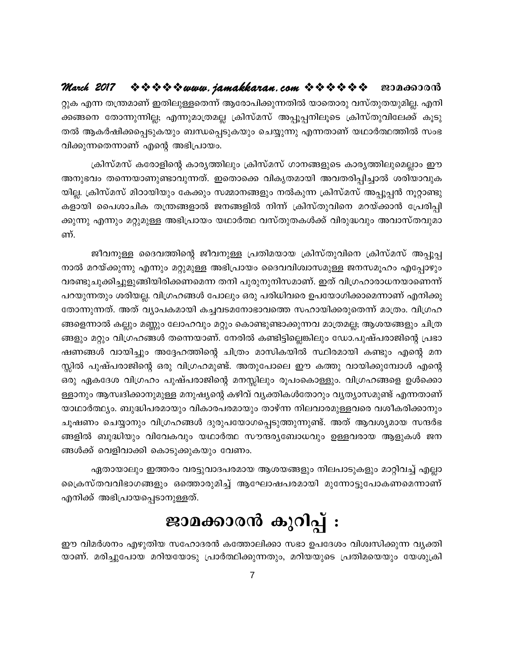#### $\Leftrightarrow$   $\Leftrightarrow$   $\Leftrightarrow$   $\Leftrightarrow$  www. jamakkaran.com  $\Leftrightarrow$   $\Leftrightarrow$   $\Leftrightarrow$   $\Leftrightarrow$   $\Leftrightarrow$   $\Leftrightarrow$ March 2017 ജാമക്കാരൻ

റ്റുക എന്ന തന്ത്രമാണ് ഇതിലുള്ളതെന്ന് ആരോപിക്കുന്നതിൽ യാതൊരു വസ്തുതയുമില്ല. എനി ക്കങ്ങനെ തോന്നുന്നില്ല; എന്നുമാത്രമല്ല ക്രിസ്മസ് അപ്പൂപ്പനിലൂടെ ക്രിസ്തുവിലേക്ക് കൂടു തൽ ആകർഷിക്കപ്പെടുകയും ബന്ധപ്പെടുകയും ചെയ്യുന്നു എന്നതാണ് യഥാർത്ഥത്തിൽ സംഭ വിക്കുന്നതെന്നാണ് എന്റെ അഭിപ്രായം.

ക്രിസ്മസ് കരോളിന്റെ കാര്യത്തിലും ക്രിസ്മസ് ഗാനങ്ങളുടെ കാര്യത്തിലുമെല്ലാം ഈ അനുഭവം തന്നെയാണുണ്ടാവുന്നത്. ഇതൊക്കെ വികൃതമായി അവതരിപ്പിച്ചാൽ ശരിയാവുക യില്ല. ക്രിസ്മസ് മിഠായിയും കേക്കും സമ്മാനങ്ങളും നൽകുന്ന ക്രിസ്മസ് അപ്പൂപ്പൻ നൂറ്റാണ്ടു കളായി പൈശാചിക തന്ത്രങ്ങളാൽ ജനങ്ങളിൽ നിന്ന് ക്രിസ്തുവിനെ മറയ്ക്കാൻ പ്രേരിപ്പി ക്കുന്നു എന്നും മറ്റുമുള്ള അഭിപ്രായം യഥാർത്ഥ വസ്തുതകൾക്ക് വിരുദ്ധവും അവാസ്തവുമാ ണ്

ജീവനുള്ള ദൈവത്തിന്റെ ജീവനുള്ള പ്രതിമയായ ക്രിസ്തുവിനെ ക്രിസ്മസ് അപ്പൂപ്പ നാൽ മറയ്ക്കുന്നു എന്നും മറ്റുമുള്ള അഭിപ്രായം ദൈവവിശ്വാസമുള്ള ജനസമൂഹം എപ്പോഴും വരണ്ടുചുക്കിച്ചുളുങ്ങിയിരിക്കണമെന്ന തനി പുരുനുനിസമാണ്. ഇത് വിഗ്രഹാരാധനയാണെന്ന് പറയുന്നതും ശരിയല്ല. വിഗ്രഹങ്ങൾ പോലും ഒരു പരിധിവരെ ഉപയോഗിക്കാമെന്നാണ് എനിക്കു തോന്നുന്നത്. അത് വ്യാപകമായി കച്ചവടമനോഭാവത്തെ സഹായിക്കരുതെന്ന് മാത്രം. വിഗ്രഹ ങ്ങളെന്നാൽ കല്ലും മണ്ണും ലോഹവും മറ്റും കൊണ്ടുണ്ടാക്കുന്നവ മാത്രമല്ല; ആശയങ്ങളും ചിത്ര ങ്ങളും മറ്റും വിഗ്രഹങ്ങൾ തന്നെയാണ്. നേരിൽ കണ്ടിട്ടില്ലെങ്കിലും ഡോ.പുഷ്പരാജിന്റെ പ്രഭാ ഷണങ്ങൾ വായിച്ചും അദ്ദേഹത്തിന്റെ ചിത്രം മാസികയിൽ സ്ഥിരമായി കണ്ടും എന്റെ മന സ്സിൽ പുഷ്പരാജിന്റെ ഒരു വിഗ്രഹമുണ്ട്. അതുപോലെ ഈ കത്തു വായിക്കുമ്പോൾ എന്റെ ഒരു ഏകദേശ വിഗ്രഹം പുഷ്പരാജിന്റെ മനസ്സിലും രൂപംകൊള്ളും. വിഗ്രഹങ്ങളെ ഉൾക്കൊ ള്ളാനും ആസ്വദിക്കാനുമുള്ള മനുഷ്യന്റെ കഴിവ് വ്യക്തികൾതോറും വ്യത്യാസമുണ്ട് എന്നതാണ് യാഥാർത്ഥ്യം. ബുദ്ധിപരമായും വികാരപരമായും താഴ്ന്ന നിലവാരമുള്ളവരെ വശീകരിക്കാനും ചൂഷണം ചെയ്യാനും വിഗ്രഹങ്ങൾ ദുരുപയോഗപ്പെടുത്തുന്നുണ്ട്. അത് ആവശ്യമായ സന്ദർഭ ങ്ങളിൽ ബുദ്ധിയും വിവേകവും യഥാർത്ഥ സൗന്ദര്യബോധവും ഉള്ളവരായ ആളുകൾ ജന ങ്ങൾക്ക് വെളിവാക്കി കൊടുക്കുകയും വേണം.

ഏതായാലും ഇത്തരം വരട്ടുവാദപരമായ ആശയങ്ങളും നിലപാടുകളും മാറ്റിവച്ച് എല്ലാ ക്രൈസ്തവവിഭാഗങ്ങളും ഒത്തൊരുമിച്ച് ആഘോഷപരമായി മുന്നോട്ടുപോകണമെന്നാണ് എനിക്ക് അഭിപ്രായപ്പെടാനുള്ളത്.

## ജാമക്കാരൻ കുറിപ്പ് :

ഈ വിമർശനം എഴുതിയ സഹോദരൻ കത്തോലിക്കാ സഭാ ഉപദേശം വിശ്വസിക്കുന്ന വ്യക്തി യാണ്. മരിച്ചുപോയ മറിയയോടു പ്രാർത്ഥിക്കുന്നതും, മറിയയുടെ പ്രതിമയെയും യേശുക്രി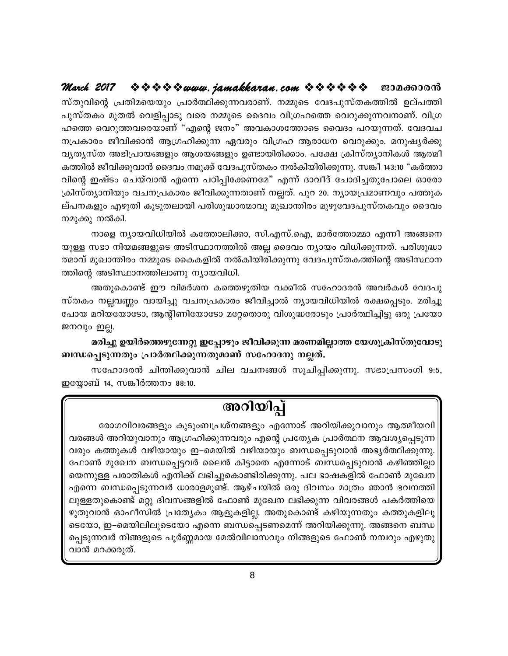#### $\Leftrightarrow$   $\Leftrightarrow$   $\Leftrightarrow$   $\Leftrightarrow$  www. jamakkaran.com  $\Leftrightarrow$   $\Leftrightarrow$   $\Leftrightarrow$   $\Leftrightarrow$   $\Leftrightarrow$   $\Leftrightarrow$ March 2017 ജാമക്കാരൻ

സ്തുവിന്റെ പ്രതിമയെയും പ്രാർത്ഥിക്കുന്നവരാണ്. നമ്മുടെ വേദപുസ്തകത്തിൽ ഉല്പത്തി പുസ്തകം മുതൽ വെളിപ്പാടു വരെ നമ്മുടെ ദൈവം വിഗ്രഹത്തെ വെറുക്കുന്നവനാണ്. വിഗ്ര ഹത്തെ വെറുത്തവരെയാണ് "എന്റെ ജനം" അവകാശത്തോടെ വൈദം പറയുന്നത്. വേദവച നപ്രകാരം ജീവിക്കാൻ ആഗ്രഹിക്കുന്ന ഏവരും വിഗ്രഹ ആരാധന വെറുക്കും. മനുഷ്യർക്കു വൃതൃസ്ത അഭിപ്രായങ്ങളും ആശയങ്ങളും ഉണ്ടായിരിക്കാം. പക്ഷേ ക്രിസ്തൃാനികൾ ആത്മീ കത്തിൽ ജീവിക്കുവാൻ ദൈവം നമുക്ക് വേദപുസ്തകം നൽകിയിരിക്കുന്നു. സങ്കീ 143:10 "കർത്താ വിന്റെ ഇഷ്ടം ചെയ്വാൻ എന്നെ പഠിപ്പിക്കേണമേ" എന്ന് ദാവീദ് ചോദിച്ചതുപോലെ ഓരോ ക്രിസ്ത്യാനിയും വചനപ്രകാരം ജീവിക്കുന്നതാണ് നല്ലത്. പുറ 20. ന്യായപ്രമാണവും പത്തുക ല്പനകളും എഴുതി കൂടുതലായി പരിശുദ്ധാത്മാവു മുഖാന്തിരം മുഴുവേദപുസ്തകവും ദൈവം നമുക്കു നൽകി.

നാളെ ന്യായവിധിയിൽ കത്തോലിക്കാ, സി.എസ്.ഐ, മാർത്തോമ്മാ എന്നീ അങ്ങനെ യുള്ള സഭാ നിയമങ്ങളുടെ അടിസ്ഥാനത്തിൽ അല്ല ദൈവം ന്യായം വിധിക്കുന്നത്. പരിശുദ്ധാ ത്മാവ് മുഖാന്തിരം നമ്മുടെ കൈകളിൽ നൽകിയിരിക്കുന്നു വേദപുസ്തകത്തിന്റെ അടിസ്ഥാന ത്തിന്റെ അടിസ്ഥാനത്തിലാണു ന്യായവിധി.

അതുകൊണ്ട് ഈ വിമർശന കത്തെഴുതിയ വക്കീൽ സഹോദരൻ അവർകൾ വേദപു സ്തകം നല്ലവണ്ണം വായിച്ചു വചനപ്രകാരം ജീവിച്ചാൽ ന്യായവിധിയിൽ രക്ഷപ്പെടും. മരിച്ചു പോയ മറിയയോടോ, ആന്റിണിയോടോ മറ്റേതൊരു വിശുദ്ധരോടും പ്രാർത്ഥിച്ചിട്ടു ഒരു പ്രയോ ജനവും ഇല്ല.

മരിച്ചു ഉയിർത്തെഴുന്നേറ്റു ഇപ്പോഴും ജീവിക്കുന്ന മരണമില്ലാത്ത യേശുക്രിസ്തുവോടു ബന്ധപ്പെടുന്നതും പ്രാർത്ഥിക്കുന്നതുമാണ് സഹോദനു നല്ലത്.

സഹോദരൻ ചിന്തിക്കുവാൻ ചില വചനങ്ങൾ സൂചിപ്പിക്കുന്നു. സഭാപ്രസംഗി 9:5, ഇയ്യോബ് 14, സങ്കീർത്തനം 88:10.

### അറിയിപ്പ്

രോഗവിവരങ്ങളും കുടുംബപ്രശ്നങ്ങളും എന്നോട് അറിയിക്കുവാനും ആത്മീയവി വരങ്ങൾ അറിയുവാനും ആഗ്രഹിക്കുന്നവരും എന്റെ പ്രത്യേക പ്രാർത്ഥന ആവശ്യപ്പെടുന്ന വരും കത്തുകൾ വഴിയായും ഇ–മെയിൽ വഴിയായും ബന്ധപ്പെടുവാൻ അഭ്യർത്ഥിക്കുന്നു. ഫോൺ മുഖേന ബന്ധപ്പെട്ടവർ ലൈൻ കിട്ടാതെ എന്നോട് ബന്ധപ്പെടുവാൻ കഴിഞ്ഞില്ലാ യെന്നുള്ള പരാതികൾ എനിക്ക് ലഭിച്ചുകൊണ്ടിരിക്കുന്നു. പല ഭാഷകളിൽ ഫോൺ മുഖേന എന്നെ ബന്ധപ്പെടുന്നവർ ധാരാളമുണ്ട്. ആഴ്ചയിൽ ഒരു ദിവസം മാത്രം ഞാൻ ഭവനത്തി ലുള്ളതുകൊണ്ട് മറ്റു ദിവസങ്ങളിൽ ഫോൺ മുഖേന ലഭിക്കുന്ന വിവരങ്ങൾ പകർത്തിയെ ഴുതുവാൻ ഓഫീസിൽ പ്രത്യേകം ആളുകളില്ല. അതുകൊണ്ട് കഴിയുന്നതും കത്തുകളിലൂ ടെയോ, ഇ–മെയിലിലൂടെയോ എന്നെ ബന്ധപ്പെടണമെന്ന് അറിയിക്കുന്നു. അങ്ങനെ ബന്ധ പ്പെടുന്നവർ നിങ്ങളുടെ പൂർണ്ണമായ മേൽവിലാസവും നിങ്ങളുടെ ഫോൺ നമ്പറും എഴുതു വാൻ മറക്കരുത്.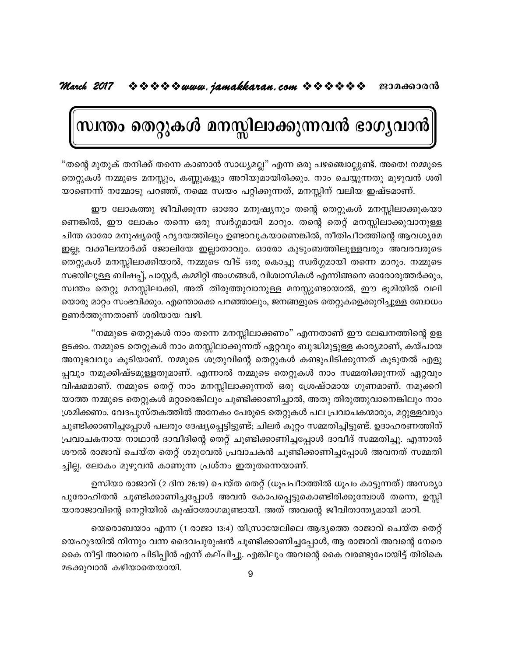## സ്ഥതം തെറ്റുകൾ മനസ്സിലാക്കുന്നവൻ ഭാഗ്യവാൻ

"തന്റെ മുതുക് തനിക്ക് തന്നെ കാണാൻ സാധ്യമല്ല" എന്ന ഒരു പഴഞ്ചൊല്ലുണ്ട്. അതെ! നമ്മുടെ തെറ്റുകൾ നമ്മുടെ മനസ്സും, കണ്ണുകളും അറിയുമായിരിക്കും. നാം ചെയ്യുന്നതു മുഴുവൻ ശരി യാണെന്ന് നമ്മോടു പറഞ്ഞ്, നമ്മെ സ്വയം പറ്റിക്കുന്നത്, മനസ്സിന് വലിയ ഇഷ്ടമാണ്.

ഈ ലോകത്തു ജീവിക്കുന്ന ഓരോ മനുഷ്യനും തന്റെ തെറ്റുകൾ മനസ്സിലാക്കുകയാ ണെങ്കിൽ, ഈ ലോകം തന്നെ ഒരു സ്വർഗ്ഗമായി മാറും. തന്റെ തെറ്റ് മനസ്സിലാക്കുവാനുള്ള ചിന്ത ഓരോ മനുഷ്യന്റെ ഹൃദയത്തിലും ഉണ്ടാവുകയാണെങ്കിൽ, നീതിപീഠത്തിന്റെ ആവശ്യമേ ഇല്ല; വക്കീലന്മാർക്ക് ജോലിയേ ഇല്ലാതാവും. ഓരോ കുടുംബത്തിലുള്ളവരും അവരവരുടെ തെറ്റുകൾ മനസ്സിലാക്കിയാൽ, നമ്മുടെ വീട് ഒരു കൊച്ചു സ്വർഗ്ഗമായി തന്നെ മാറും. നമ്മുടെ സഭയിലുള്ള ബിഷപ്പ്, പാസ്റ്റർ, കമ്മിറ്റി അംഗങ്ങൾ, വിശ്വാസികൾ എന്നിങ്ങനെ ഓരോരുത്തർക്കും, സ്വന്തം തെറ്റു മനസ്സിലാക്കി, അത് തിരുത്തുവാനുള്ള മനസ്സുണ്ടായാൽ, ഈ ഭൂമിയിൽ വലി യൊരു മാറ്റം സംഭവിക്കും. എന്തൊക്കെ പറഞ്ഞാലും, ജനങ്ങളുടെ തെറ്റുകളെക്കുറിച്ചുള്ള ബോധം ഉണർത്തുന്നതാണ് ശരിയായ വഴി.

"നമ്മുടെ തെറ്റുകൾ നാം തന്നെ മനസ്സിലാക്കണം" എന്നതാണ് ഈ ലേഖനത്തിന്റെ ഉള ളടക്കം. നമ്മുടെ തെറ്റുകൾ നാം മനസ്സിലാക്കുന്നത് ഏറ്റവും ബുദ്ധിമുട്ടുള്ള കാര്യമാണ്, കയ്പായ അനുഭവവും കൂടിയാണ്. നമ്മുടെ ശത്രുവിന്റെ തെറ്റുകൾ കണ്ടുപിടിക്കുന്നത് കൂടുതൽ എളു പ്പവും നമുക്കിഷ്ടമുള്ളതുമാണ്. എന്നാൽ നമ്മുടെ തെറ്റുകൾ നാം സമ്മതിക്കുന്നത് ഏറ്റവും വിഷമമാണ്. നമ്മുടെ തെറ്റ് നാം മനസ്സിലാക്കുന്നത് ഒരു ശ്രേഷ്ഠമായ ഗുണമാണ്. നമുക്കറി യാത്ത നമ്മുടെ തെറ്റുകൾ മറ്റാരെങ്കിലും ചൂണ്ടിക്കാണിച്ചാൽ, അതു തിരുത്തുവാനെങ്കിലും നാം ശ്രമിക്കണം. വേദപുസ്തകത്തിൽ അനേകം പേരുടെ തെറ്റുകൾ പല പ്രവാചകന്മാരും, മറ്റുള്ളവരും ചൂണ്ടിക്കാണിച്ചപ്പോൾ പലരും ദേഷ്യപ്പെട്ടിട്ടുണ്ട്; ചിലർ കുറ്റം സമ്മതിച്ചിട്ടുണ്ട്. ഉദാഹരണത്തിന് പ്രവാചകനായ നാഥാൻ ദാവീദിന്റെ തെറ്റ് ചൂണ്ടിക്കാണിച്ചപ്പോൾ ദാവീദ് സമ്മതിച്ചു. എന്നാൽ ശൗൽ രാജാവ് ചെയ്ത തെറ്റ് ശമുവേൽ പ്രവാചകൻ ചൂണ്ടിക്കാണിച്ചപ്പോൾ അവനത് സമ്മതി ച്ചില്ല. ലോകം മുഴുവൻ കാണുന്ന പ്രശ്നം ഇതുതന്നെയാണ്.

ഉസിയാ രാജാവ് (2 ദിന 26:19) ചെയ്ത തെറ്റ് (ധൂപപീഠത്തിൽ ധൂപം കാട്ടുന്നത്) അസര്യാ പുരോഹിതൻ ചൂണ്ടിക്കാണിച്ചപ്പോൾ അവൻ കോപപ്പെട്ടുകൊണ്ടിരിക്കുമ്പോൾ തന്നെ, ഉസ്സി യാരാജാവിന്റെ നെറ്റിയിൽ കുഷ്ഠരോഗമുണ്ടായി. അത് അവന്റെ ജീവിതാന്ത്യമായി മാറി.

യെരൊബയാം എന്ന (1 രാജാ 13:4) യിസ്രായേലിലെ ആദ്യത്തെ രാജാവ് ചെയ്ത തെറ്റ് യെഹൂദയിൽ നിന്നും വന്ന ദൈവപുരുഷൻ ചൂണ്ടിക്കാണിച്ചപ്പോൾ, ആ രാജാവ് അവന്റെ നേരെ കൈ നീട്ടി അവനെ പിടിപ്പിൻ എന്ന് കല്പിച്ചു. എങ്കിലും അവന്റെ കൈ വരണ്ടുപോയിട്ട് തിരികെ മടക്കുവാൻ കഴിയാതെയായി.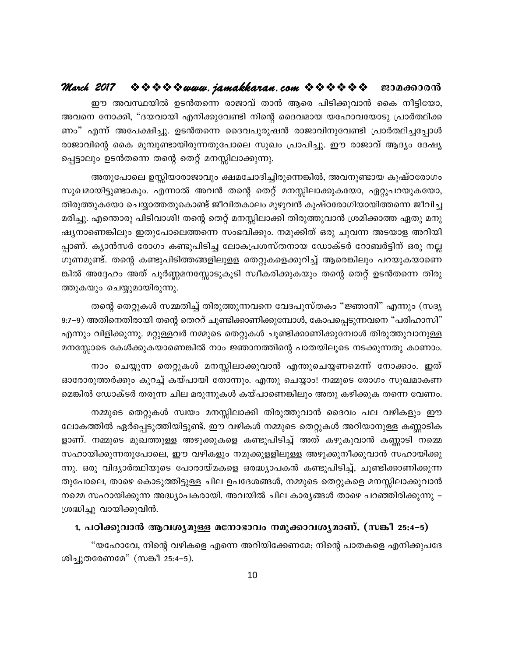ഈ അവസ്ഥയിൽ ഉടൻതന്നെ രാജാവ് താൻ ആരെ പിടിക്കുവാൻ കൈ നീട്ടിയോ, അവനെ നോക്കി, "ദയവായി എനിക്കുവേണ്ടി നിന്റെ ദൈവമായ യഹോവയോടു പ്രാർത്ഥിക്ക ണം" എന്ന് അപേക്ഷിച്ചു. ഉടൻതന്നെ ദൈവപുരുഷൻ രാജാവിനുവേണ്ടി പ്രാർത്ഥിച്ചപ്പോൾ രാജാവിന്റെ കൈ മുമ്പുണ്ടായിരുന്നതുപോലെ സുഖം പ്രാപിച്ചു. ഈ രാജാവ് ആദ്യം ദേഷ്യ പ്പെട്ടാലും ഉടൻതന്നെ തന്റെ തെറ്റ് മനസ്സിലാക്കുന്നു.

അതുപോലെ ഉസ്സിയാരാജാവും ക്ഷമചോദിച്ചിരുന്നെങ്കിൽ, അവനുണ്ടായ കുഷ്ഠരോഗം സുഖമായിട്ടുണ്ടാകും. എന്നാൽ അവൻ തന്റെ തെറ്റ് മനസ്സിലാക്കുകയോ, ഏറ്റുപറയുകയോ, തിരുത്തുകയോ ചെയ്യാത്തതുകൊണ്ട് ജീവിതകാലം മുഴുവൻ കുഷ്ഠരോഗിയായിത്തന്നെ ജീവിച്ച മരിച്ചു. എന്തൊരു പിടിവാശി! തന്റെ തെറ്റ് മനസ്സിലാക്കി തിരുത്തുവാൻ ശ്രമിക്കാത്ത ഏതു മനു ഷ്യനാണെങ്കിലും ഇതുപോലെത്തന്നെ സംഭവിക്കും. നമുക്കിത് ഒരു ചുവന്ന അടയാള അറിയി പ്പാണ്. ക്യാൻസർ രോഗം കണ്ടുപിടിച്ച ലോകപ്രശസ്തനായ ഡോക്ടർ റോബർട്ടിന് ഒരു നല്ല ഗുണമുണ്ട്. തന്റെ കണ്ടുപിടിത്തങ്ങളിലുളള തെറ്റുകളെക്കുറിച്ച് ആരെങ്കിലും പറയുകയാണെ ങ്കിൽ അദ്ദേഹം അത് പൂർണ്ണമനസ്സോടുകൂടി സ്വീകരിക്കുകയും തന്റെ തെറ്റ് ഉടൻതന്നെ തിരു ത്തുകയും ചെയ്യുമായിരുന്നു.

തന്റെ തെറ്റുകൾ സമ്മതിച്ച് തിരുത്തുന്നവനെ വേദപുസ്തകം "ജ്ഞാനി" എന്നും (സദൃ 9:7–9) അതിനെതിരായി തന്റെ തെററ് ചൂണ്ടിക്കാണിക്കുമ്പോൾ, കോപപ്പെടുന്നവനെ "പരിഹാസി" എന്നും വിളിക്കുന്നു. മറ്റുള്ളവർ നമ്മുടെ തെറ്റുകൾ ചൂണ്ടിക്കാണിക്കുമ്പോൾ തിരുത്തുവാനുള്ള മനസ്സോടെ കേൾക്കുകയാണെങ്കിൽ നാം ജ്ഞാനത്തിന്റെ പാതയിലൂടെ നടക്കുന്നതു കാണാം.

നാം ചെയ്യുന്ന തെറ്റുകൾ മനസ്സിലാക്കുവാൻ എന്തുചെയ്യണമെന്ന് നോക്കാം. ഇത് ഓരോരുത്തർക്കും കുറച്ച് കയ്പായി തോന്നും. എന്തു ചെയ്യാം! നമ്മുടെ രോഗം സുഖമാകണ മെങ്കിൽ ഡോക്ടർ തരുന്ന ചില മരുന്നുകൾ കയ്പാണെങ്കിലും അതു കഴിക്കുക തന്നെ വേണം.

നമ്മുടെ തെറ്റുകൾ സ്വയം മനസ്സിലാക്കി തിരുത്തുവാൻ ദൈവം പല വഴികളും ഈ ലോകത്തിൽ ഏർപ്പെടുത്തിയിട്ടുണ്ട്. ഈ വഴികൾ നമ്മുടെ തെറ്റുകൾ അറിയാനുള്ള കണ്ണാടിക ളാണ്. നമ്മുടെ മുഖത്തുള്ള അഴുക്കുകളെ കണ്ടുപിടിച്ച് അത് കഴുകുവാൻ കണ്ണാടി നമ്മെ സഹായിക്കുന്നതുപോലെ, ഈ വഴികളും നമുക്കുളളിലുള്ള അഴുക്കുനീക്കുവാൻ സഹായിക്കു ന്നു. ഒരു വിദ്യാർത്ഥിയുടെ പോരായ്മകളെ ഒരദ്ധ്യാപകൻ കണ്ടുപിടിച്ച്, ചൂണ്ടിക്കാണിക്കുന്ന തുപോലെ, താഴെ കൊടുത്തിട്ടുള്ള ചില ഉപദേശങ്ങൾ, നമ്മുടെ തെറ്റുകളെ മനസ്സിലാക്കുവാൻ നമ്മെ സഹായിക്കുന്ന അദ്ധ്യാപകരായി. അവയിൽ ചില കാര്യങ്ങൾ താഴെ പറഞ്ഞിരിക്കുന്നു – ശ്രദ്ധിച്ചു വായിക്കുവിൻ.

#### 1. പഠിക്കുവാൻ ആവശ്യമുള്ള മനോഭാവം നമുക്കാവശ്യമാണ്. (സങ്കീ 25:4–5)

"യഹോവേ, നിന്റെ വഴികളെ എന്നെ അറിയിക്കേണമേ; നിന്റെ പാതകളെ എനിക്കുപദേ ശിച്ചുതരേണമേ" (സങ്കീ 25:4-5).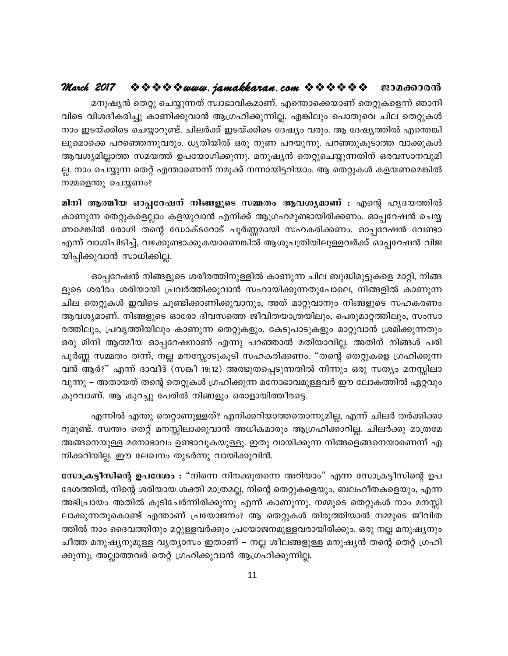മനുഷ്യൻ തെറ്റു ചെയ്യുന്നത് സ്വാഭാവികമാണ്. എന്തൊക്കെയാണ് തെറ്റുകളെന്ന് ഞാനി വിടെ വിശദീകരിച്ചു കാണിക്കുവാൻ ആഗ്രഹിക്കുന്നില്ല. എങ്കിലും പൊതുവെ ചില തെറ്റുകൾ നാം ഇടയ്ക്കിടെ ചെയ്യാറുണ്ട്. ചിലർക്ക് ഇടയ്ക്കിടെ ദേഷ്യം വരും. ആ ദേഷ്യത്തിൽ എന്തെങ്കി ലുമൊക്കെ പറഞ്ഞെന്നുവരും. ധൃതിയിൽ ഒരു നുണ പറയുന്നു. പറഞ്ഞുകൂടാത്ത വാക്കുകൾ ആവശ്യമില്ലാത്ത സമയത്ത് ഉപയോഗിക്കുന്നു. മനുഷ്യൻ തെറ്റുചെയ്യുന്നതിന് ഒരവസാനവുമി ല്ല. നാം ചെയ്യുന്ന തെറ്റ് എന്താണെന്ന് നമുക്ക് നന്നായിട്ടറിയാം. ആ തെറ്റുകൾ കളയണമെങ്കിൽ നമ്മളെന്തു ചെയ്യണം?

മിനി ആത്മീയ ഓപ്പറേഷന് നിങ്ങളുടെ സമ്മതം ആവശ്യമാണ് : എന്റെ ഹൃദയത്തിൽ കാണുന്ന തെറ്റുകളെല്ലാം കളയുവാൻ എനിക്ക് ആഗ്രഹമുണ്ടായിരിക്കണം. ഓപ്പറേഷൻ ചെയ്യ ണമെങ്കിൽ രോഗി തന്റെ ഡോക്ടറോട് പൂർണ്ണമായി സഹകരിക്കണം. ഓപ്പറേഷൻ വേണ്ടാ എന്ന് വാശിപിടിച്ച്, വഴക്കുണ്ടാക്കുകയാണെങ്കിൽ ആശുപത്രിയിലുള്ളവർക്ക് ഓപ്പറേഷൻ വിജ യിപ്പിക്കുവാൻ സാധിക്കില്ല.

ഓപ്പറേഷൻ നിങ്ങളുടെ ശരീരത്തിനുള്ളിൽ കാണുന്ന ചില ബുദ്ധിമുട്ടുകളെ മാറ്റി, നിങ്ങ ളുടെ ശരീരം ശരിയായി പ്രവർത്തിക്കുവാൻ സഹായിക്കുന്നതുപോലെ, നിങ്ങളിൽ കാണുന്ന ചില തെറ്റുകൾ ഇവിടെ ചൂണ്ടിക്കാണിക്കുവാനും, അത് മാറ്റുവാനും നിങ്ങളുടെ സഹകരണം ആവശ്യമാണ്. നിങ്ങളുടെ ഓരോ ദിവസത്തെ ജീവിതയാത്രയിലും, പെരുമാറ്റത്തിലും, സംസാ രത്തിലും, പ്രവൃത്തിയിലും കാണുന്ന തെറ്റുകളും, കേടുപാടുകളും മാറ്റുവാൻ ശ്രമിക്കുന്നതും ഒരു മിനി ആത്മീയ ഓപ്പറേഷനാണ് എന്നു പറഞ്ഞാൽ മതിയാവില്ല. അതിന് നിങ്ങൾ പരി പൂർണ്ണ സമ്മതം തന്ന്, നല്ല മനസ്സോടുകൂടി സഹകരിക്കണം. "തന്റെ തെറ്റുകളെ ഗ്രഹിക്കുന്ന വൻ ആര്?" എന്ന് ദാവീദ് (സങ്കീ 19:12) അത്ഭുതപ്പെടുന്നതിൽ നിന്നും ഒരു സത്യം മനസ്സിലാ വുന്നു – അതായത് തന്റെ തെറ്റുകൾ ഗ്രഹിക്കുന്ന മനോഭാവമുള്ളവർ ഈ ലോകത്തിൽ ഏറ്റവും കുറവാണ്. ആ കുറച്ചു പേരിൽ നിങ്ങളും ഒരാളായിത്തീരട്ടെ.

എന്നിൽ എന്തു തെറ്റാണുള്ളത്? എനിക്കറിയാത്തതൊന്നുമില്ല, എന്ന് ചിലർ തർക്കിക്കാ റുമുണ്ട്. സ്വന്തം തെറ്റ് മനസ്സിലാക്കുവാൻ അധികമാരും ആഗ്രഹിക്കാറില്ല. ചിലർക്കു മാത്രമേ അങ്ങനെയുള്ള മനോഭാവം ഉണ്ടാവുകയുള്ളൂ. ഇതു വായിക്കുന്ന നിങ്ങളെങ്ങനെയാണെന്ന് എ നിക്കറിയില്ല. ഈ ലേഖനം തുടർന്നു വായിക്കുവിൻ.

സോക്രട്ടീസിന്റെ ഉപദേശം : "നിന്നെ നിനക്കുതന്നെ അറിയാം" എന്ന സോക്രട്ടീസിന്റെ ഉപ ദേശത്തിൽ, നിന്റെ ശരിയായ ശക്തി മാത്രമല്ല, നിന്റെ തെറ്റുകളെയും, ബലഹീതകളെയും, എന്ന അഭിപ്രായം അതിൽ കൂടിചേർന്നിരിക്കുന്നു എന്ന് കാണുന്നു. നമ്മുടെ തെറ്റുകൾ നാം മനസ്സി ലാക്കുന്നതുകൊണ്ട് എന്താണ് പ്രയോജനം? ആ തെറ്റുകൾ തിരുത്തിയാൽ നമ്മുടെ ജീവിത ത്തിൽ നാം ദൈവത്തിനും മറ്റുള്ളവർക്കും പ്രയോജനമുള്ളവരായിരിക്കും. ഒരു നല്ല മനുഷ്യനും ചീത്ത മനുഷ്യനുമുള്ള വൃത്യാസം ഇതാണ് – നല്ല ശീലങ്ങളുള്ള മനുഷ്യൻ തന്റെ തെറ്റ് ഗ്രഹി ക്കുന്നു; അല്ലാത്തവർ തെറ്റ് ഗ്രഹിക്കുവാൻ ആഗ്രഹിക്കുന്നില്ല.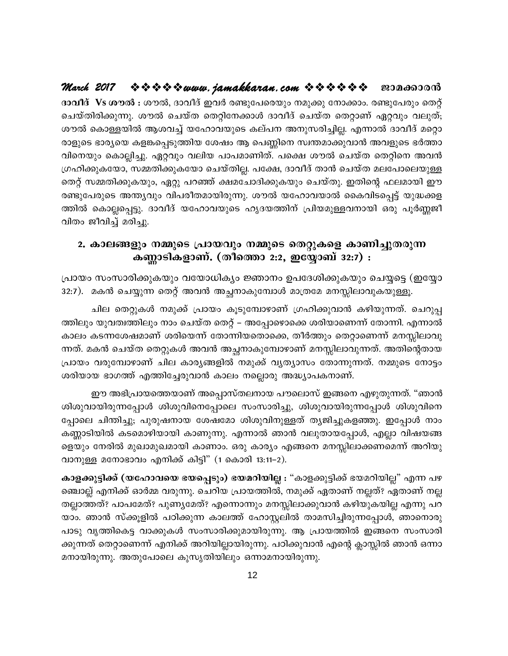#### March 2017 ☆☆☆☆☆www.jamakkaran.com ☆☆☆☆☆☆ ~ ≌ാമക്കാരൻ

ദാവീദ് Vs ശൗൽ : ശൗൽ, ദാവീദ് ഇവർ രണ്ടുപേരെയും നമുക്കു നോക്കാം. രണ്ടുപേരും തെറ്റ് ചെയ്തിരിക്കുന്നു. ശൗൽ ചെയ്ത തെറ്റിനേക്കാൾ ദാവീദ് ചെയ്ത തെറ്റാണ് ഏറ്റവും വലുത്; ശൗൽ കൊള്ളയിൽ ആശവച്ച് യഹോവയുടെ കല്പന അനുസരിച്ചില്ല. എന്നാൽ ദാവീദ് മറ്റൊ രാളുടെ ഭാര്യയെ കളങ്കപ്പെടുത്തിയ ശേഷം ആ പെണ്ണിനെ സ്വന്തമാക്കുവാൻ അവളുടെ ഭർത്താ വിനെയും കൊല്ലിച്ചു. ഏറ്റവും വലിയ പാപമാണിത്. പക്ഷെ ശൗൽ ചെയ്ത തെറ്റിനെ അവൻ ഗ്രഹിക്കുകയോ, സമ്മതിക്കുകയോ ചെയ്തില്ല. പക്ഷേ, ദാവീദ് താൻ ചെയ്ത മലപോലെയുള്ള തെറ്റ് സമ്മതിക്കുകയും, ഏറ്റു പറഞ്ഞ് ക്ഷമചോദിക്കുകയും ചെയ്തു. ഇതിന്റെ ഫലമായി ഈ രണ്ടുപേരുടെ അന്ത്യവും വിപരീതമായിരുന്നു. ശൗൽ യഹോവയാൽ കൈവിടപ്പെട്ട് യുദ്ധക്കള ത്തിൽ കൊല്ലപ്പെട്ടു. ദാവീദ് യഹോവയുടെ ഹൃദയത്തിന് പ്രിയമുള്ളവനായി ഒരു പൂർണ്ണജീ വിതം ജീവിച്ച് മരിച്ചു.

#### 2. കാലങ്ങളും നമ്മുടെ പ്രായവും നമ്മുടെ തെറ്റുകളെ കാണിച്ചുതരുന്ന കണ്ണാടികളാണ്. (തീത്തൊ 2:2, ഇയ്യോബ് 32:7) :

പ്രായം സംസാരിക്കുകയും വയോധിക്യം ജ്ഞാനം ഉപദേശിക്കുകയും ചെയ്യട്ടെ (ഇയ്യോ 32:7). മകൻ ചെയ്യുന്ന തെറ്റ് അവൻ അച്ഛനാകുമ്പോൾ മാത്രമേ മനസ്സിലാവുകയുള്ളൂ.

ചില തെറ്റുകൾ നമുക്ക് പ്രായം കൂടുമ്പോഴാണ് ഗ്രഹിക്കുവാൻ കഴിയുന്നത്. ചെറുപ്പ ത്തിലും യുവത്വത്തിലും നാം ചെയ്ത തെറ്റ് – അപ്പോഴൊക്കെ ശരിയാണെന്ന് തോന്നി. എന്നാൽ കാലം കടന്നശേഷമാണ് ശരിയെന്ന് തോന്നിയതൊക്കെ, തീർത്തും തെറ്റാണെന്ന് മനസ്സിലാവു ന്നത്. മകൻ ചെയ്ത തെറ്റുകൾ അവൻ അച്ഛനാകുമ്പോഴാണ് മനസ്സിലാവുന്നത്. അതിന്റെതായ പ്രായം വരുമ്പോഴാണ് ചില കാര്യങ്ങളിൽ നമുക്ക് വ്യത്യാസം തോന്നുന്നത്. നമ്മുടെ നോട്ടം ശരിയായ ഭാഗത്ത് എത്തിച്ചേരുവാൻ കാലം നല്ലൊരു അദ്ധ്യാപകനാണ്.

ഈ അഭിപ്രായത്തെയാണ് അപ്പൊസ്തലനായ പൗലൊസ് ഇങ്ങനെ എഴുതുന്നത്. "ഞാൻ ശിശുവായിരുന്നപ്പോൾ ശിശുവിനെപ്പോലെ സംസാരിച്ചു, ശിശുവായിരുന്നപ്പോൾ ശിശുവിനെ പ്പോലെ ചിന്തിച്ചു; പുരുഷനായ ശേഷമോ ശിശുവിനുള്ളത് തൃജിച്ചുകളഞ്ഞു. ഇപ്പോൾ നാം കണ്ണാടിയിൽ കടമൊഴിയായി കാണുന്നു. എന്നാൽ ഞാൻ വലുതായപ്പോൾ, എല്ലാ വിഷയങ്ങ ളെയും നേരിൽ മുഖാമുഖമായി കാണാം. ഒരു കാര്യം എങ്ങനെ മനസ്സിലാക്കണമെന്ന് അറിയു വാനുള്ള മനോഭാവം എനിക്ക് കിട്ടി" (1 കൊരി 13:11–2).

കാളക്കുട്ടിക്ക് (യഹോവയെ ഭയപ്പെടും) ഭയമറിയില്ല : "കാളക്കുട്ടിക്ക് ഭയമറിയില്ല" എന്ന പഴ ഞ്ചൊല്ല് എനിക്ക് ഓർമ്മ വരുന്നു. ചെറിയ പ്രായത്തിൽ, നമുക്ക് ഏതാണ് നല്ലത്? ഏതാണ് നല്ല തല്ലാത്തത്? പാപമേത്? പുണ്യമേത്? എന്നൊന്നും മനസ്സിലാക്കുവാൻ കഴിയുകയില്ല എന്നു പറ യാം. ഞാൻ സ്ക്കൂളിൽ പഠിക്കുന്ന കാലത്ത് ഹോസ്റ്റലിൽ താമസിച്ചിരുന്നപ്പോൾ, ഞാനൊരു പാടു വൃത്തികെട്ട വാക്കുകൾ സംസാരിക്കുമായിരുന്നു. ആ പ്രായത്തിൽ ഇങ്ങനെ സംസാരി ക്കുന്നത് തെറ്റാണെന്ന് എനിക്ക് അറിയില്ലായിരുന്നു. പഠിക്കുവാൻ എന്റെ ക്ലാസ്സിൽ ഞാൻ ഒന്നാ മനായിരുന്നു. അതുപോലെ കുസൃതിയിലും ഒന്നാമനായിരുന്നു.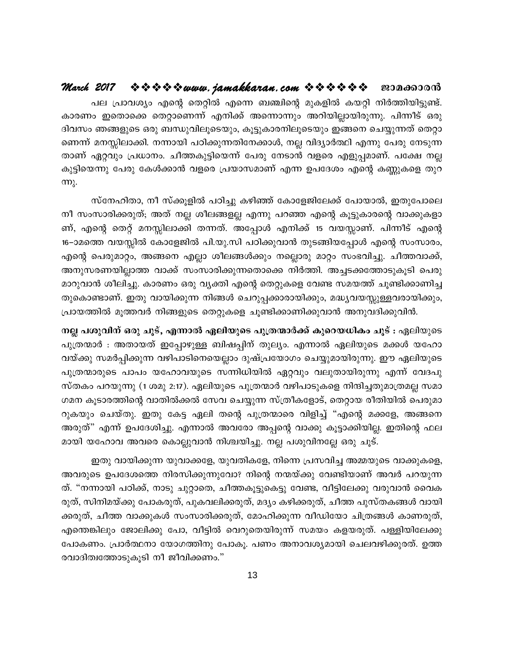#### $\hat{\mathbf{v}} \mathbf{v} \mathbf{v} \mathbf{v} \mathbf{v}$  is  $\mathbf{w}$  when  $\mathbf{w}$  anakkaran.com  $\mathbf{v} \mathbf{v} \mathbf{v} \mathbf{v} \mathbf{v} \mathbf{v}$ March 2017 ജാമക്കാരൻ

പല പ്രാവശ്യം എന്റെ തെറ്റിൽ എന്നെ ബഞ്ചിന്റെ മുകളിൽ കയറ്റി നിർത്തിയിട്ടുണ്ട്. കാരണം ഇതൊക്കെ തെറ്റാണെന്ന് എനിക്ക് അന്നൊന്നും അറിയില്ലായിരുന്നു. പിന്നീട് ഒരു ദിവസം ഞങ്ങളുടെ ഒരു ബന്ധുവിലൂടെയും, കൂട്ടുകാരനിലൂടെയും ഇങ്ങനെ ചെയ്യുന്നത് തെറ്റാ ണെന്ന് മനസ്സിലാക്കി. നന്നായി പഠിക്കുന്നതിനേക്കാൾ, നല്ല വിദ്യാർത്ഥി എന്നു പേരു നേടുന്ന താണ് ഏറ്റവും പ്രധാനം. ചീത്തകുട്ടിയെന്ന് പേരു നേടാൻ വളരെ എളുപ്പമാണ്. പക്ഷേ നല്ല കുട്ടിയെന്നു പേരു കേൾക്കാൻ വളരെ പ്രയാസമാണ് എന്ന ഉപദേശം എന്റെ കണ്ണുകളെ തുറ  $m<sub>λ</sub>$ .

സ്നേഹിതാ, നീ സ്ക്കൂളിൽ പഠിച്ചു കഴിഞ്ഞ് കോളേജിലേക്ക് പോയാൽ, ഇതുപോലെ നീ സംസാരിക്കരുത്; അത് നല്ല ശീലങ്ങളല്ല എന്നു പറഞ്ഞ എന്റെ കൂട്ടുകാരന്റെ വാക്കുകളാ ണ്, എന്റെ തെറ്റ് മനസ്സിലാക്കി തന്നത്. അപ്പോൾ എനിക്ക് 15 വയസ്സാണ്. പിന്നീട് എന്റെ 16–ാമത്തെ വയസ്സിൽ കോളേജിൽ പി.യു.സി പഠിക്കുവാൻ തുടങ്ങിയപ്പോൾ എന്റെ സംസാരം, എന്റെ പെരുമാറ്റം, അങ്ങനെ എല്ലാ ശീലങ്ങൾക്കും നല്ലൊരു മാറ്റം സംഭവിച്ചു. ചീത്തവാക്ക്, അനുസരണയില്ലാത്ത വാക്ക് സംസാരിക്കുന്നതൊക്കെ നിർത്തി. അച്ചടക്കത്തോടുകൂടി പെരു മാറുവാൻ ശീലിച്ചു. കാരണം ഒരു വ്യക്തി എന്റെ തെറ്റുകളെ വേണ്ട സമയത്ത് ചൂണ്ടിക്കാണിച്ച തുകൊണ്ടാണ്. ഇതു വായിക്കുന്ന നിങ്ങൾ ചെറുപ്പക്കാരായിക്കും, മദ്ധ്യവയസ്സുള്ളവരായിക്കും, പ്രായത്തിൽ മൂത്തവർ നിങ്ങളുടെ തെറ്റുകളെ ചൂണ്ടിക്കാണിക്കുവാൻ അനുവദിക്കുവിൻ.

നല്ല പശുവിന് ഒരു ചൂട്, എന്നാൽ ഏലിയുടെ പുത്രന്മാർക്ക് കുറെയധികം ചൂട് : ഏലിയുടെ പുത്രന്മാർ : അതായത് ഇപ്പോഴുള്ള ബിഷപ്പിന് തുല്യം. എന്നാൽ ഏലിയുടെ മക്കൾ യഹോ വയ്ക്കു സമർപ്പിക്കുന്ന വഴിപാടിനെയെല്ലാം ദുഷ്പ്രയോഗം ചെയ്യുമായിരുന്നു. ഈ ഏലിയുടെ പുത്രന്മാരുടെ പാപം യഹോവയുടെ സന്നിധിയിൽ ഏറ്റവും വലുതായിരുന്നു എന്ന് വേദപു സ്തകം പറയുന്നു (1 ശമു 2:17). ഏലിയുടെ പുത്രന്മാർ വഴിപാടുകളെ നിന്ദിച്ചതുമാത്രമല്ല സമാ ഗമന കൂടാരത്തിന്റെ വാതിൽക്കൽ സേവ ചെയ്യുന്ന സ്ത്രീകളോട്, തെറ്റായ രീതിയിൽ പെരുമാ റുകയും ചെയ്തു. ഇതു കേട്ട ഏലി തന്റെ പുത്രന്മാരെ വിളിച്ച് "എന്റെ മക്കളേ, അങ്ങനെ അരുത്" എന്ന് ഉപദേശിച്ചു. എന്നാൽ അവരോ അപ്പന്റെ വാക്കു കൂട്ടാക്കിയില്ല. ഇതിന്റെ ഫല മായി യഹോവ അവരെ കൊല്ലുവാൻ നിശ്ചയിച്ചു. നല്ല പശുവിനല്ലേ ഒരു ചൂട്.

ഇതു വായിക്കുന്ന യുവാക്കളേ, യുവതികളേ, നിന്നെ പ്രസവിച്ച അമ്മയുടെ വാക്കുകളെ, അവരുടെ ഉപദേശത്തെ നിരസിക്കുന്നുവോ? നിന്റെ നന്മയ്ക്കു വേണ്ടിയാണ് അവർ പറയുന്ന ത്. "നന്നായി പഠിക്ക്, നാടു ചുറ്റാതെ, ചീത്തകൂട്ടുകെട്ടു വേണ്ട, വീട്ടിലേക്കു വരുവാൻ വൈക രുത്, സിനിമയ്ക്കു പോകരുത്, പുകവലിക്കരുത്, മദ്യം കഴിക്കരുത്, ചീത്ത പുസ്തകങ്ങൾ വായി ക്കരുത്, ചീത്ത വാക്കുകൾ സംസാരിക്കരുത്, മോഹിക്കുന്ന വീഡിയോ ചിത്രങ്ങൾ കാണരുത്, എന്തെങ്കിലും ജോലിക്കു പോ, വീട്ടിൽ വെറുതെയിരുന്ന് സമയം കളയരുത്. പള്ളിയിലേക്കു പോകണം. പ്രാർത്ഥനാ യോഗത്തിനു പോകൂ. പണം അനാവശ്യമായി ചെലവഴിക്കുരത്. ഉത്ത രവാദിത്വത്തോടുകൂടി നീ ജീവിക്കണം."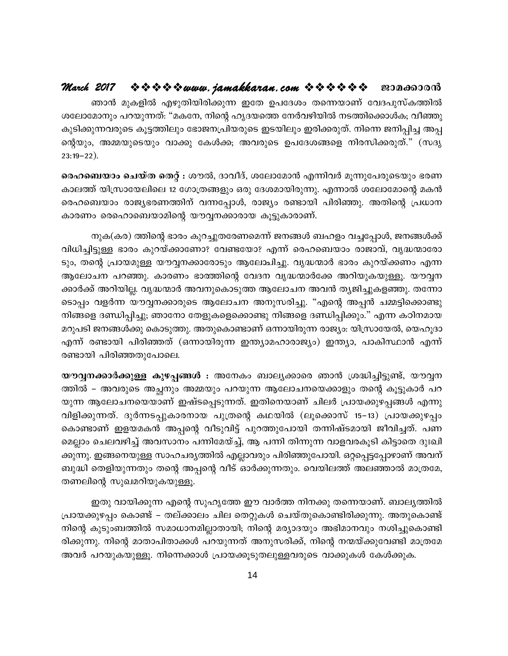#### ☆☆☆☆☆*www.jamakkaran.com ☆☆☆☆☆* ~ ~00000000 March 2017

ഞാൻ മുകളിൽ എഴുതിയിരിക്കുന്ന ഇതേ ഉപദേശം തന്നെയാണ് വേദപുസ്കത്തിൽ ശലോമോനും പറയുന്നത്: "മകനേ, നിന്റെ ഹൃദയത്തെ നേർവഴിയിൽ നടത്തിക്കൊൾക; വീഞ്ഞു കുടിക്കുന്നവരുടെ കൂട്ടത്തിലും ഭോജനപ്രിയരുടെ ഇടയിലും ഇരിക്കരുത്. നിന്നെ ജനിപ്പിച്ച അപ്പ ന്റെയും, അമ്മയുടെയും വാക്കു കേൾക്ക; അവരുടെ ഉപദേശങ്ങളെ നിരസിക്കരുത്." (സദൃ  $23:19-22$ ).

ഹെബെയാം ചെയ്ത തെറ്റ് : ശൗൽ, ദാവീദ്, ശലോമോൻ എന്നിവർ മൂന്നുപേരുടെയും ഭരണ കാലത്ത് യിസ്രായേലിലെ 12 ഗോത്രങ്ങളും ഒരു ദേശമായിരുന്നു. എന്നാൽ ശലോമോന്റെ മകൻ രെഹബെയാം രാജ്യഭരണത്തിന് വന്നപ്പോൾ, രാജ്യം രണ്ടായി പിരിഞ്ഞു. അതിന്റെ പ്രധാന കാരണം രെഹൊബെയാമിന്റെ യൗവ്വനക്കാരായ കൂട്ടുകാരാണ്.

നുക(കര) ത്തിന്റെ ഭാരം കുറച്ചുതരേണമെന്ന് ജനങ്ങൾ ബഹളം വച്ചപ്പോൾ, ജനങ്ങൾക്ക് വിധിച്ചിട്ടുള്ള ഭാരം കുറയ്ക്കാണോ? വേണ്ടയോ? എന്ന് രെഹബെയാം രാജാവ്, വൃദ്ധന്മാരോ ടും, തന്റെ പ്രായമുള്ള യൗവ്വനക്കാരോടും ആലോചിച്ചു. വൃദ്ധന്മാർ ഭാരം കുറയ്ക്കണം എന്ന ആലോചന പറഞ്ഞു. കാരണം ഭാത്തിന്റെ വേദന വൃദ്ധന്മാർക്കേ അറിയുകയുള്ളൂ. യൗവ്വന ക്കാർക്ക് അറിയില്ല. വൃദ്ധന്മാർ അവനുകൊടുത്ത ആലോചന അവൻ തൃജിച്ചുകളഞ്ഞു. തന്നോ ടൊപ്പം വളർന്ന യൗവ്വനക്കാരുടെ ആലോചന അനുസരിച്ചു. "എന്റെ അപ്പൻ ചമ്മട്ടിക്കൊണ്ടു നിങ്ങളെ ദണ്ഡിപ്പിച്ചു; ഞാനോ തേളുകളെക്കൊണ്ടു നിങ്ങളെ ദണ്ഡിപ്പിക്കും." എന്ന കഠിനമായ മറുപടി ജനങ്ങൾക്കു കൊടുത്തു. അതുകൊണ്ടാണ് ഒന്നായിരുന്ന രാജ്യം: യിസ്രായേൽ, യെഹൂദാ എന്ന് രണ്ടായി പിരിഞ്ഞത് (ഒന്നായിരുന്ന ഇന്ത്യാമഹാരാജ്യം) ഇന്ത്യാ, പാകിസ്ഥാൻ എന്ന് രണ്ടായി പിരിഞ്ഞതുപോലെ.

യൗവ്വനക്കാർക്കുള്ള കുഴപ്പങ്ങൾ : അനേകം ബാല്യക്കാരെ ഞാൻ ശ്രദ്ധിച്ചിട്ടുണ്ട്, യൗവ്വന ത്തിൽ – അവരുടെ അച്ഛനും അമ്മയും പറയുന്ന ആലോചനയെക്കാളും തന്റെ കൂട്ടുകാർ പറ യുന്ന ആലോചനയെയാണ് ഇഷ്ടപ്പെടുന്നത്. ഇതിനെയാണ് ചിലർ പ്രായക്കുഴപ്പങ്ങൾ എന്നു വിളിക്കുന്നത്. ദുർന്നടപ്പുകാരനായ പുത്രന്റെ കഥയിൽ (ലൂക്കൊസ് 15–13) പ്രായക്കുഴപ്പം കൊണ്ടാണ് ഇളയമകൻ അപ്പന്റെ വീടുവിട്ട് പുറത്തുപോയി തന്നിഷ്ടമായി ജീവിച്ചത്. പണ മെല്ലാം ചെലവഴിച്ച് അവസാനം പന്നിമേയ്ച്ച്, ആ പന്നി തിന്നുന്ന വാളവരകൂടി കിട്ടാതെ ദുഃഖി ക്കുന്നു. ഇങ്ങനെയുള്ള സാഹചര്യത്തിൽ എല്ലാവരും പിരിഞ്ഞുപോയി. ഒറ്റപ്പെട്ടപ്പോഴാണ് അവന് ബുദ്ധി തെളിയുന്നതും തന്റെ അപ്പന്റെ വീട് ഓർക്കുന്നതും. വെയിലത്ത് അലഞ്ഞാൽ മാത്രമേ, തണലിന്റെ സുഖമറിയുകയുള്ളൂ.

ഇതു വായിക്കുന്ന എന്റെ സുഹൃത്തേ ഈ വാർത്ത നിനക്കു തന്നെയാണ്. ബാല്യത്തിൽ പ്രായക്കുഴപ്പം കൊണ്ട് – തല്ക്കാലം ചില തെറ്റുകൾ ചെയ്തുകൊണ്ടിരിക്കുന്നു. അതുകൊണ്ട് നിന്റെ കുടുംബത്തിൽ സമാധാനമില്ലാതായി; നിന്റെ മര്യാദയും അഭിമാനവും നശിച്ചുകൊണ്ടി രിക്കുന്നു. നിന്റെ മാതാപിതാക്കൾ പറയുന്നത് അനുസരിക്ക്, നിന്റെ നന്മയ്ക്കുവേണ്ടി മാത്രമേ അവർ പറയുകയുള്ളൂ. നിന്നെക്കാൾ പ്രായക്കൂടുതലുള്ളവരുടെ വാക്കുകൾ കേൾക്കുക.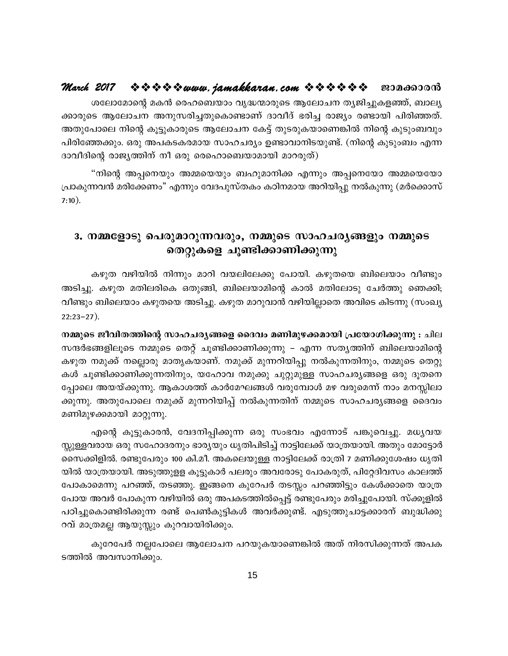ശലോമോന്റെ മകൻ രെഹബെയാം വൃദ്ധന്മാരുടെ ആലോചന തൃജിച്ചുകളഞ്ഞ്, ബാല്യ ക്കാരുടെ ആലോചന അനുസരിച്ചതുകൊണ്ടാണ് ദാവീദ് ഭരിച്ച രാജ്യം രണ്ടായി പിരിഞ്ഞത്. അതുപോലെ നിന്റെ കൂട്ടുകാരുടെ ആലോചന കേട്ട് തുടരുകയാണെങ്കിൽ നിന്റെ കുടുംബവും പിരിഞ്ഞേക്കും. ഒരു അപകടകരമായ സാഹചര്യം ഉണ്ടാവാനിടയുണ്ട്. (നിന്റെ കുടുംബം എന്ന ദാവീദിന്റെ രാജ്യത്തിന് നീ ഒരു രെഹൊബെയാമായി മാറരുത്)

"നിന്റെ അപ്പനെയും അമ്മയെയും ബഹുമാനിക്ക എന്നും അപ്പനെയോ അമ്മയെയോ പ്രാകുന്നവൻ മരിക്കേണം" എന്നും വേദപുസ്തകം കഠിനമായ അറിയിപ്പു നൽകുന്നു (മർക്കൊസ്  $7:10$ ).

#### 3. നമ്മളോടു പെരുമാറുന്നവരും, നമ്മുടെ സാഹചര്യങ്ങളും നമ്മുടെ തെറ്റുകളെ ചൂണ്ടിക്കാണിക്കുന്നു

കഴുത വഴിയിൽ നിന്നും മാറി വയലിലേക്കു പോയി. കഴുതയെ ബിലെയാം വീണ്ടും അടിച്ചു. കഴുത മതിലരികെ ഒതുങ്ങി, ബിലെയാമിന്റെ കാൽ മതിലോടു ചേർത്തു ഞെക്കി; വീണ്ടും ബിലെയാം കഴുതയെ അടിച്ചു. കഴുത മാറുവാൻ വഴിയില്ലാതെ അവിടെ കിടന്നു (സംഖ്യ  $22:23-27$ ).

നമ്മുടെ ജീവിതത്തിന്റെ സാഹചര്യങ്ങളെ ദൈവം മണിമുഴക്കമായി പ്രയോഗിക്കുന്നു : ചില സന്ദർഭങ്ങളിലൂടെ നമ്മുടെ തെറ്റ് ചൂണ്ടിക്കാണിക്കുന്നു – എന്ന സത്യത്തിന് ബിലെയാമിന്റെ കഴുത നമുക്ക് നല്ലൊരു മാതൃകയാണ്. നമുക്ക് മുന്നറിയിപ്പു നൽകുന്നതിനും, നമ്മുടെ തെറ്റു കൾ ചൂണ്ടിക്കാണിക്കുന്നതിനും, യഹോവ നമുക്കു ചുറ്റുമുള്ള സാഹചര്യങ്ങളെ ഒരു ദൂതനെ പ്പോലെ അയയ്ക്കുന്നു. ആകാശത്ത് കാർമേഘങ്ങൾ വരുമ്പോൾ മഴ വരുമെന്ന് നാം മനസ്സിലാ ക്കുന്നു. അതുപോലെ നമുക്ക് മുന്നറിയിപ്പ് നൽകുന്നതിന് നമ്മുടെ സാഹചര്യങ്ങളെ ദൈവം മണിമുഴക്കമായി മാറ്റുന്നു.

എന്റെ കൂട്ടുകാരൻ, വേദനിപ്പിക്കുന്ന ഒരു സംഭവം എന്നോട് പങ്കുവെച്ചു. മധൃവയ സ്സുള്ളവരായ ഒരു സഹോദരനും ഭാര്യയും ധൃതിപിടിച്ച് നാട്ടിലേക്ക് യാത്രയായി. അതും മോട്ടോർ സൈക്കിളിൽ. രണ്ടുപേരും 100 കി.മീ. അകലെയുള്ള നാട്ടിലേക്ക് രാത്രി 7 മണിക്കുശേഷം ധൃതി യിൽ യാത്രയായി. അടുത്തുളള കൂട്ടുകാർ പലരും അവരോടു പോകരുത്, പിറ്റേദിവസം കാലത്ത് പോകാമെന്നു പറഞ്ഞ്, തടഞ്ഞു. ഇങ്ങനെ കുറേപർ തടസ്സം പറഞ്ഞിട്ടും കേൾക്കാതെ യാത്ര പോയ അവർ പോകുന്ന വഴിയിൽ ഒരു അപകടത്തിൽപ്പെട്ട് രണ്ടുപേരും മരിച്ചുപോയി. സ്ക്കൂളിൽ പഠിച്ചുകൊണ്ടിരിക്കുന്ന രണ്ട് പെൺകുട്ടികൾ അവർക്കുണ്ട്. എടുത്തുചാട്ടക്കാരന് ബുദ്ധിക്കു റവ് മാത്രമല്ല ആയുസ്സും കുറവായിരിക്കും.

കുറേപേർ നല്ലപോലെ ആലോചന പറയുകയാണെങ്കിൽ അത് നിരസിക്കുന്നത് അപക ടത്തിൽ അവസാനിക്കും.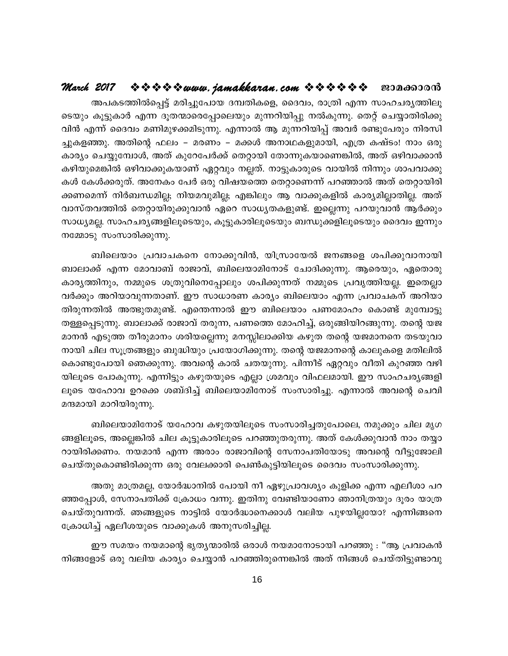#### $\hat{X}$   $\hat{Y}$   $\hat{Y}$   $\hat{Y}$  www.jamakkaran.com  $\hat{Y}$   $\hat{Y}$   $\hat{Y}$   $\hat{Y}$   $\hat{Y}$  = 200000000 March 2017

അപകടത്തിൽപ്പെട്ട് മരിച്ചുപോയ ദമ്പതികളെ, ദൈവം, രാത്രി എന്ന സാഹചര്യത്തിലൂ ടെയും കൂട്ടുകാർ എന്ന ദൂതന്മാരെപ്പോലെയും മുന്നറിയിപ്പു നൽകുന്നു. തെറ്റ് ചെയ്യാതിരിക്കു വിൻ എന്ന് ദൈവം മണിമുഴക്കമിടുന്നു. എന്നാൽ ആ മുന്നറിയിപ്പ് അവർ രണ്ടുപേരും നിരസി ച്ചുകളഞ്ഞു. അതിന്റെ ഫലം – മരണം – മക്കൾ അനാഥകളുമായി, എത്ര കഷ്ടം! നാം ഒരു കാര്യം ചെയ്യുമ്പോൾ, അത് കുറേപേർക്ക് തെറ്റായി തോന്നുകയാണെങ്കിൽ, അത് ഒഴിവാക്കാൻ കഴിയുമെങ്കിൽ ഒഴിവാക്കുകയാണ് ഏറ്റവും നല്ലത്. നാട്ടുകാരുടെ വായിൽ നിന്നും ശാപവാക്കു കൾ കേൾക്കരുത്. അനേകം പേർ ഒരു വിഷയത്തെ തെറ്റാണെന്ന് പറഞ്ഞാൽ അത് തെറ്റായിരി ക്കണമെന്ന് നിർബന്ധമില്ല; നിയമവുമില്ല; എങ്കിലും ആ വാക്കുകളിൽ കാര്യമില്ലാതില്ല. അത് വാസ്തവത്തിൽ തെറ്റായിരുക്കുവാൻ ഏറെ സാധ്യതകളുണ്ട്. ഇല്ലെന്നു പറയുവാൻ ആർക്കും സാധ്യമല്ല. സാഹചര്യങ്ങളിലൂടെയും, കൂട്ടുകാരിലൂടെയും ബന്ധുക്കളിലൂടെയും ദൈവം ഇന്നും നമ്മോടു സംസാരിക്കുന്നു.

ബിലെയാം പ്രവാചകനെ നോക്കുവിൻ, യിസ്രായേൽ ജനങ്ങളെ ശപിക്കുവാനായി ബാലാക്ക് എന്ന മോവാബ് രാജാവ്, ബിലെയാമിനോട് ചോദിക്കുന്നു. ആരെയും, ഏതൊരു കാര്യത്തിനും, നമ്മുടെ ശത്രുവിനെപ്പോലും ശപിക്കുന്നത് നമ്മുടെ പ്രവൃത്തിയല്ല. ഇതെല്ലാ വർക്കും അറിയാവുന്നതാണ്. ഈ സാധാരണ കാര്യം ബിലെയാം എന്ന പ്രവാചകന് അറിയാ തിരുന്നതിൽ അത്ഭുതമുണ്ട്. എന്തെന്നാൽ ഈ ബിലെയാം പണമോഹം കൊണ്ട് മുമ്പോട്ടു തള്ളപ്പെടുന്നു. ബാലാക്ക് രാജാവ് തരുന്ന, പണത്തെ മോഹിച്ച്, ഒരുങ്ങിയിറങ്ങുന്നു. തന്റെ യജ മാനൻ എടുത്ത തീരുമാനം ശരിയല്ലെന്നു മനസ്സിലാക്കിയ കഴുത തന്റെ യജമാനനെ തടയുവാ നായി ചില സൂത്രങ്ങളും ബുദ്ധിയും പ്രയോഗിക്കുന്നു. തന്റെ യജമാനന്റെ കാലുകളെ മതിലിൽ കൊണ്ടുപോയി ഞെക്കുന്നു. അവന്റെ കാൽ ചതയുന്നു. പിന്നീട് ഏറ്റവും വീതി കുറഞ്ഞ വഴി യിലൂടെ പോകുന്നു. എന്നിട്ടും കഴുതയുടെ എല്ലാ ശ്രമവും വിഫലമായി. ഈ സാഹചര്യങ്ങളി ലൂടെ യഹോവ ഉറക്കെ ശബ്ദിച്ച് ബിലെയാമിനോട് സംസാരിച്ചു. എന്നാൽ അവന്റെ ചെവി മന്ദമായി മാറിയിരുന്നു.

ബിലെയാമിനോട് യഹോവ കഴുതയിലൂടെ സംസാരിച്ചതുപോലെ, നമുക്കും ചില മൃഗ ങ്ങളിലൂടെ, അല്ലെങ്കിൽ ചില കൂട്ടുകാരിലൂടെ പറഞ്ഞുതരുന്നു. അത് കേൾക്കുവാൻ നാം തയ്യാ റായിരിക്കണം. നയമാൻ എന്ന അരാം രാജാവിന്റെ സേനാപതിയോടു അവന്റെ വീട്ടുജോലി ചെയ്തുകൊണ്ടിരിക്കുന്ന ഒരു വേലക്കാരി പെൺകുട്ടിയിലൂടെ ദൈവം സംസാരിക്കുന്നു.

അതു മാത്രമല്ല, യോർദ്ധാനിൽ പോയി നീ ഏഴുപ്രാവശ്യം കുളിക്ക എന്ന എലീശാ പറ ഞ്ഞപ്പോൾ, സേനാപതിക്ക് ക്രോധം വന്നു. ഇതിനു വേണ്ടിയാണോ ഞാനിത്രയും ദൂരം യാത്ര ചെയ്തുവന്നത്. ഞങ്ങളുടെ നാട്ടിൽ യോർദ്ധാനെക്കാൾ വലിയ പുഴയില്ലയോ? എന്നിങ്ങനെ ക്രോധിച്ച് ഏലീശയുടെ വാക്കുകൾ അനുസരിച്ചില്ല.

ഈ സമയം നയമാന്റെ ഭൃത്യന്മാരിൽ ഒരാൾ നയമാനോടായി പറഞ്ഞു : "ആ പ്രവാകൻ നിങ്ങളോട് ഒരു വലിയ കാര്യം ചെയ്യാൻ പറഞ്ഞിരുന്നെങ്കിൽ അത് നിങ്ങൾ ചെയ്തിട്ടുണ്ടാവു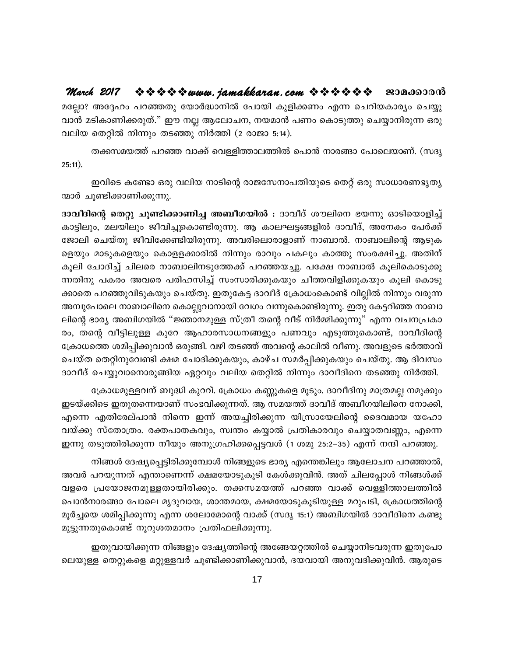$\Leftrightarrow$   $\Leftrightarrow$   $\Leftrightarrow$  www.jamakkaran.com  $\Leftrightarrow$   $\Leftrightarrow$   $\Leftrightarrow$   $\Leftrightarrow$   $\Leftrightarrow$  20000000 March 2017 മല്ലോ? അദ്ദേഹം പറഞ്ഞതു യോർദ്ധാനിൽ പോയി കുളിക്കണം എന്ന ചെറിയകാര്യം ചെയ്യു വാൻ മടികാണിക്കരുത്." ഈ നല്ല ആലോചന, നയമാൻ പണം കൊടുത്തു ചെയ്യാനിരുന്ന ഒരു വലിയ തെറ്റിൽ നിന്നും തടഞ്ഞു നിർത്തി (2 രാജാ 5:14).

തക്കസമയത്ത് പറഞ്ഞ വാക്ക് വെള്ളിത്താലത്തിൽ പൊൻ നാരങ്ങാ പോലെയാണ്. (സദൃ  $25:11$ ).

ഇവിടെ കണ്ടോ ഒരു വലിയ നാടിന്റെ രാജസേനാപതിയുടെ തെറ്റ് ഒരു സാധാരണഭൃത്യ ന്മാർ ചൂണ്ടിക്കാണിക്കുന്നു.

ദാവീദിന്റെ തെറ്റു ചൂണ്ടിക്കാണിച്ച അബീഗയിൽ : ദാവീദ് ശൗലിനെ ഭയന്നു ഓടിയൊളിച്ച് കാട്ടിലും, മലയിലും ജീവിച്ചുകൊണ്ടിരുന്നു. ആ കാലഘട്ടങ്ങളിൽ ദാവീദ്, അനേകം പേർക്ക് ജോലി ചെയ്തു ജീവിക്കേണ്ടിയിരുന്നു. അവരിലൊരാളാണ് നാബാൽ. നാബാലിന്റെ ആടുക ളെയും മാടുകളെയും കൊളളക്കാരിൽ നിന്നും രാവും പകലും കാത്തു സംരക്ഷിച്ചു. അതിന് കൂലി ചോദിച്ച് ചിലരെ നാബാലിനടുത്തേക്ക് പറഞ്ഞയച്ചു. പക്ഷേ നാബാൽ കൂലികൊടുക്കു ന്നതിനു പകരം അവരെ പരിഹസിച്ച് സംസാരിക്കുകയും ചീത്തവിളിക്കുകയും കൂലി കൊടു ക്കാതെ പറഞ്ഞുവിടുകയും ചെയ്തു. ഇതുകേട്ട ദാവീദ് ക്രോധംകൊണ്ട് വില്ലിൽ നിന്നും വരുന്ന അമ്പുപോലെ നാബാലിനെ കൊല്ലുവാനായി വേഗം വന്നുകൊണ്ടിരുന്നു. ഇതു കേട്ടറിഞ്ഞ നാബാ ലിന്റെ ഭാര്യ അബിഗയിൽ "ജ്ഞാനമുള്ള സ്ത്രീ തന്റെ വീട് നിർമ്മിക്കുന്നു" എന്ന വചനപ്രകാ രം, തന്റെ വീട്ടിലുള്ള കുറേ ആഹാരസാധനങ്ങളും പണവും എടുത്തുകൊണ്ട്, ദാവീദിന്റെ ക്രോധത്തെ ശമിപ്പിക്കുവാൻ ഒരുങ്ങി. വഴി തടഞ്ഞ് അവന്റെ കാലിൽ വീണു. അവളുടെ ഭർത്താവ് ചെയ്ത തെറ്റിനുവേണ്ടി ക്ഷമ ചോദിക്കുകയും, കാഴ്ച സമർപ്പിക്കുകയും ചെയ്തു. ആ ദിവസം ദാവീദ് ചെയ്യുവാനൊരുങ്ങിയ ഏറ്റവും വലിയ തെറ്റിൽ നിന്നും ദാവീദിനെ തടഞ്ഞു നിർത്തി.

ക്രോധമുള്ളവന് ബുദ്ധി കുറവ്. ക്രോധം കണ്ണുകളെ മൂടും. ദാവീദിനു മാത്രമല്ല നമുക്കും ഇടയ്ക്കിടെ ഇതുതന്നെയാണ് സംഭവിക്കുന്നത്. ആ സമയത്ത് ദാവീദ് അബീഗയിലിനെ നോക്കി, എന്നെ എതിരേല്പാൻ നിന്നെ ഇന്ന് അയച്ചിരിക്കുന്ന യിസ്രായേലിന്റെ ദൈവമായ യഹോ വയ്ക്കു സ്തോത്രം. രക്തപാതകവും, സ്വന്തം കയ്യാൽ പ്രതികാരവും ചെയ്യാതവണ്ണം, എന്നെ ഇന്നു തടുത്തിരിക്കുന്ന നീയും അനുഗ്രഹിക്കപ്പെട്ടവൾ (1 ശമു 25:2–35) എന്ന് നന്ദി പറഞ്ഞു.

നിങ്ങൾ ദേഷ്യപ്പെട്ടിരിക്കുമ്പോൾ നിങ്ങളുടെ ഭാര്യ എന്തെങ്കിലും ആലോചന പറഞ്ഞാൽ, അവർ പറയുന്നത് എന്താണെന്ന് ക്ഷമയോടുകൂടി കേൾക്കുവിൻ. അത് ചിലപ്പോൾ നിങ്ങൾക്ക് വളരെ പ്രയോജനമുള്ളതായിരിക്കും. തക്കസമയത്ത് പറഞ്ഞ വാക്ക് വെള്ളിത്താലത്തിൽ പൊൻനാരങ്ങാ പോലെ മൃദുവായ, ശാന്തമായ, ക്ഷമയോടുകൂടിയുള്ള മറുപടി, ക്രോധത്തിന്റെ മൂർച്ചയെ ശമിപ്പിക്കുന്നു എന്ന ശലോമോന്റെ വാക്ക് (സദൃ 15:1) അബിഗയിൽ ദാവീദിനെ കണ്ടു മുട്ടുന്നതുകൊണ്ട് നൂറുശതമാനം പ്രതിഫലിക്കുന്നു.

ഇതുവായിക്കുന്ന നിങ്ങളും ദേഷ്യത്തിന്റെ അങ്ങേയറ്റത്തിൽ ചെയ്യാനിടവരുന്ന ഇതുപോ ലെയുള്ള തെറ്റുകളെ മറ്റുള്ളവർ ചൂണ്ടിക്കാണിക്കുവാൻ, ദയവായി അനുവദിക്കുവിൻ. ആരുടെ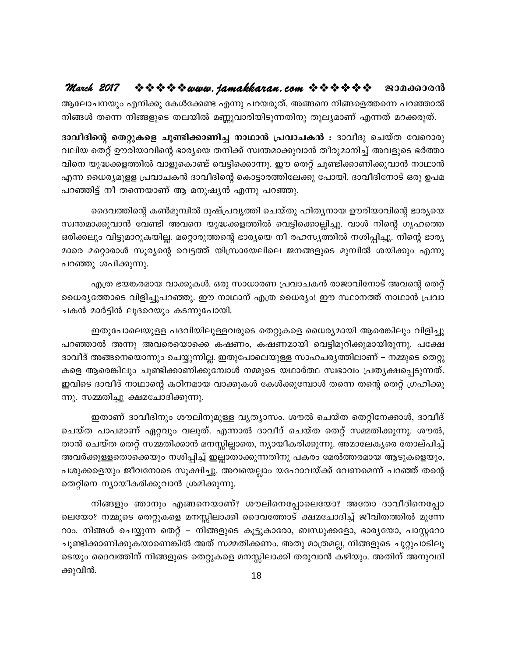ആലോചനയും എനിക്കു കേൾക്കേണ്ട എന്നു പറയരുത്. അങ്ങനെ നിങ്ങളെത്തന്നെ പറഞ്ഞാൽ നിങ്ങൾ തന്നെ നിങ്ങളുടെ തലയിൽ മണ്ണുവാരിയിടുന്നതിനു തുല്യമാണ് എന്നത് മറക്കരുത്.

ദാവീദിന്റെ തെറ്റുകളെ ചൂണ്ടിക്കാണിച്ച നാഥാൻ പ്രവാചകൻ : ദാവീദു ചെയ്ത വേറൊരു വലിയ തെറ്റ് ഊരിയാവിന്റെ ഭാര്യയെ തനിക്ക് സ്വന്തമാക്കുവാൻ തീരുമാനിച്ച് അവളുടെ ഭർത്താ വിനെ യുദ്ധക്കളത്തിൽ വാളുകൊണ്ട് വെട്ടിക്കൊന്നു. ഈ തെറ്റ് ചൂണ്ടിക്കാണിക്കുവാൻ നാഥാൻ എന്ന ധൈര്യമുളള പ്രവാചകൻ ദാവീദിന്റെ കൊട്ടാരത്തിലേക്കു പോയി. ദാവീദിനോട് ഒരു ഉപമ പറഞ്ഞിട്ട് നീ തന്നെയാണ് ആ മനുഷ്യൻ എന്നു പറഞ്ഞു.

ദൈവത്തിന്റെ കൺമുമ്പിൽ ദുഷ്പ്രവൃത്തി ചെയ്തു ഹിതൃനായ ഊരിയാവിന്റെ ഭാര്യയെ സ്വന്തമാക്കുവാൻ വേണ്ടി അവനെ യുദ്ധക്കളത്തിൽ വെട്ടിക്കൊല്ലിച്ചു. വാൾ നിന്റെ ഗൃഹത്തെ ഒരിക്കലും വിട്ടുമാറുകയില്ല. മറ്റൊരുത്തന്റെ ഭാര്യയെ നീ രഹസ്യത്തിൽ നശിപ്പിച്ചു. നിന്റെ ഭാര്യ മാരെ മറ്റൊരാൾ സൂര്യന്റെ വെട്ടത്ത് യിസ്രായേലിലെ ജനങ്ങളുടെ മുമ്പിൽ ശയിക്കും എന്നു പറഞ്ഞു ശപിക്കുന്നു.

എത്ര ഭയങ്കരമായ വാക്കുകൾ. ഒരു സാധാരണ പ്രവാചകൻ രാജാവിനോട് അവന്റെ തെറ്റ് ധൈര്യത്തോടെ വിളിച്ചുപറഞ്ഞു. ഈ നാഥാന് എത്ര ധൈര്യം! ഈ സ്ഥാനത്ത് നാഥാൻ പ്രവാ ചകൻ മാർട്ടിൻ ലുദറെയും കടന്നുപോയി.

ഇതുപോലെയുളള പദവിയിലുള്ളവരുടെ തെറ്റുകളെ ധൈര്യമായി ആരെങ്കിലും വിളിച്ചു പറഞ്ഞാൽ അന്നു അവരെയൊക്കെ കഷണം, കഷണമായി വെട്ടിമുറിക്കുമായിരുന്നു. പക്ഷേ ദാവീദ് അങ്ങനെയൊന്നും ചെയ്യുന്നില്ല. ഇതുപോലെയുള്ള സാഹചര്യത്തിലാണ് – നമ്മുടെ തെറ്റു കളെ ആരെങ്കിലും ചുണ്ടിക്കാണിക്കുമ്പോൾ നമ്മുടെ യഥാർത്ഥ സ്വഭാവം പ്രത്യക്ഷപ്പെടുന്നത്. ഇവിടെ ദാവീദ് നാഥാന്റെ കഠിനമായ വാക്കുകൾ കേൾക്കുമ്പോൾ തന്നെ തന്റെ തെറ്റ് ഗ്രഹിക്കു ന്നു. സമ്മതിച്ചു ക്ഷമചോദിക്കുന്നു.

ഇതാണ് ദാവീദിനും ശൗലിനുമുള്ള വൃത്യാസം. ശൗൽ ചെയ്ത തെറ്റിനേക്കാൾ, ദാവീദ് ചെയ്ത പാപമാണ് ഏറ്റവും വലുത്. എന്നാൽ ദാവീദ് ചെയ്ത തെറ്റ് സമ്മതിക്കുന്നു. ശൗൽ, താൻ ചെയ്ത തെറ്റ് സമ്മതിക്കാൻ മനസ്സില്ലാതെ, ന്യായീകരിക്കുന്നു. അമാലേക്യരെ തോല്പിച്ച് അവർക്കുള്ളതൊക്കെയും നശിപ്പിച്ച് ഇല്ലാതാക്കുന്നതിനു പകരം മേൽത്തരമായ ആടുകളെയും, പശുക്കളെയും ജീവനോടെ സൂക്ഷിച്ചു. അവയെല്ലാം യഹോവയ്ക്ക് വേണമെന്ന് പറഞ്ഞ് തന്റെ തെറ്റിനെ ന്യായീകരിക്കുവാൻ ശ്രമിക്കുന്നു.

നിങ്ങളും ഞാനും എങ്ങനെയാണ്? ശൗലിനെപ്പോലെയോ? അതോ ദാവീദിനെപ്പോ ലെയോ? നമ്മുടെ തെറ്റുകളെ മനസ്സിലാക്കി ദൈവത്തോട് ക്ഷമചോദിച്ച് ജീവിതത്തിൽ മുന്നേ റാം. നിങ്ങൾ ചെയ്യുന്ന തെറ്റ് – നിങ്ങളുടെ കൂട്ടുകാരോ, ബന്ധുക്കളോ, ഭാര്യയോ, പാസ്റ്ററോ ചൂണ്ടിക്കാണിക്കുകയാണെങ്കിൽ അത് സമ്മതിക്കണം. അതു മാത്രമല്ല, നിങ്ങളുടെ ചുറ്റുപാടിലൂ ടെയും ദൈവത്തിന് നിങ്ങളുടെ തെറ്റുകളെ മനസ്സിലാക്കി തരുവാൻ കഴിയും. അതിന് അനുവദി ക്കുവിൻ.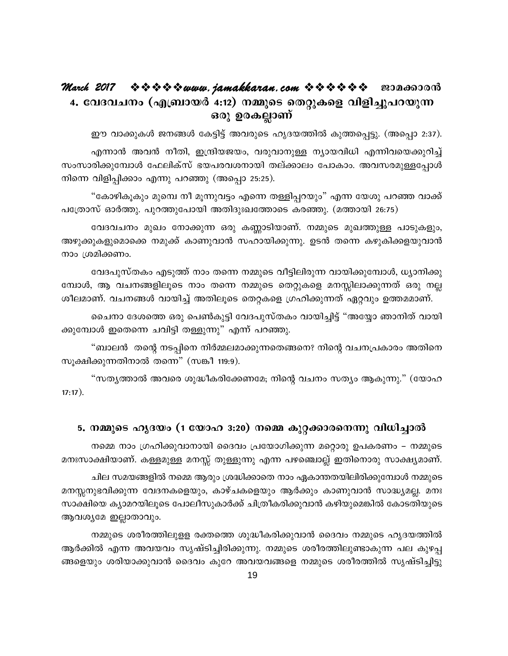#### 4. വേദവചനം (എബ്രായർ 4:12) നമ്മുടെ തെറ്റുകളെ വിളിച്ചുപറയുന്ന ഒരു ഉരകല്ലാണ്

ഈ വാക്കുകൾ ജനങ്ങൾ കേട്ടിട്ട് അവരുടെ ഹൃദയത്തിൽ കുത്തപ്പെട്ടു. (അപ്പൊ 2:37).

എന്നാൻ അവൻ നീതി, ഇന്ദ്രിയജയം, വരുവാനുള്ള ന്യായവിധി എന്നിവയെക്കുറിച്ച് സംസാരിക്കുമ്പോൾ ഫേലിക്സ് ഭയപരവശനായി തല്ക്കാലം പോകാം. അവസരമുള്ളപ്പോൾ നിന്നെ വിളിപ്പിക്കാം എന്നു പറഞ്ഞു (അപ്പൊ 25:25).

"കോഴികൂകും മുമ്പെ നീ മൂന്നുവട്ടം എന്നെ തള്ളിപ്പറയും" എന്ന യേശു പറഞ്ഞ വാക്ക് പത്രോസ് ഓർത്തു. പുറത്തുപോയി അതിദുഃഖത്തോടെ കരഞ്ഞു. (മത്തായി 26:75)

വേദവചനം മുഖം നോക്കുന്ന ഒരു കണ്ണാടിയാണ്. നമ്മുടെ മുഖത്തുള്ള പാടുകളും, അഴുക്കുകളുമൊക്കെ നമുക്ക് കാണുവാൻ സഹായിക്കുന്നു. ഉടൻ തന്നെ കഴുകിക്കളയുവാൻ നാം ശ്രമിക്കണം.

വേദപുസ്തകം എടുത്ത് നാം തന്നെ നമ്മുടെ വീട്ടിലിരുന്ന വായിക്കുമ്പോൾ, ധ്യാനിക്കു മ്പോൾ, ആ വചനങ്ങളിലൂടെ നാം തന്നെ നമ്മുടെ തെറ്റുകളെ മനസ്സിലാക്കുന്നത് ഒരു നല്ല ശീലമാണ്. വചനങ്ങൾ വായിച്ച് അതിലൂടെ തെറ്റകളെ ഗ്രഹിക്കുന്നത് ഏറ്റവും ഉത്തമമാണ്.

ചൈനാ ദേശത്തെ ഒരു പെൺകുട്ടി വേദപുസ്തകം വായിച്ചിട്ട് "അയ്യോ ഞാനിത് വായി ക്കുമ്പോൾ ഇതെന്നെ ചവിട്ടി തള്ളുന്നു" എന്ന് പറഞ്ഞു.

"ബാലൻ തന്റെ നടപ്പിനെ നിർമ്മലമാക്കുന്നതെങ്ങനെ? നിന്റെ വചനപ്രകാരം അതിനെ സുക്ഷിക്കുന്നതിനാൽ തന്നെ" (സങ്കീ 119:9).

"സത്യത്താൽ അവരെ ശുദ്ധീകരിക്കേണമേ; നിന്റെ വചനം സത്യം ആകുന്നു." (യോഹ  $17:17$ ).

#### 5. നമ്മുടെ ഹൃദയം (1 യോഹ 3:20) നമ്മെ കുറ്റക്കാരനെന്നു വിധിച്ചാൽ

നമ്മെ നാം ഗ്രഹിക്കുവാനായി ദൈവം പ്രയോഗിക്കുന്ന മറ്റൊരു ഉപകരണം – നമ്മുടെ മനഃസാക്ഷിയാണ്. കള്ളമുള്ള മനസ്സ് തുള്ളുന്നു എന്ന പഴഞ്ചൊല്ല് ഇതിനൊരു സാക്ഷ്യമാണ്.

ചില സമയങ്ങളിൽ നമ്മെ ആരും ശ്രദ്ധിക്കാതെ നാം ഏകാന്തതയിലിരിക്കുമ്പോൾ നമ്മുടെ മനസ്സനുഭവിക്കുന്ന വേദനകളെയും, കാഴ്ചകളെയും ആർക്കും കാണുവാൻ സാദ്ധ്യമല്ല. മനഃ സാക്ഷിയെ ക്യാമറയിലൂടെ പോലീസുകാർക്ക് ചിത്രീകരിക്കുവാൻ കഴിയുമെങ്കിൽ കോടതിയുടെ ആവശ്യമേ ഇല്ലാതാവും.

നമ്മുടെ ശരീരത്തിലുളള രക്തത്തെ ശുദ്ധീകരിക്കുവാൻ ദൈവം നമ്മുടെ ഹൃദയത്തിൽ ആർക്കിൽ എന്ന അവയവം സൃഷ്ടിച്ചിരിക്കുന്നു. നമ്മുടെ ശരീരത്തിലുണ്ടാകുന്ന പല കുഴപ്പ ങ്ങളെയും ശരിയാക്കുവാൻ ദൈവം കുറേ അവയവങ്ങളെ നമ്മുടെ ശരീരത്തിൽ സൃഷ്ടിച്ചിട്ടു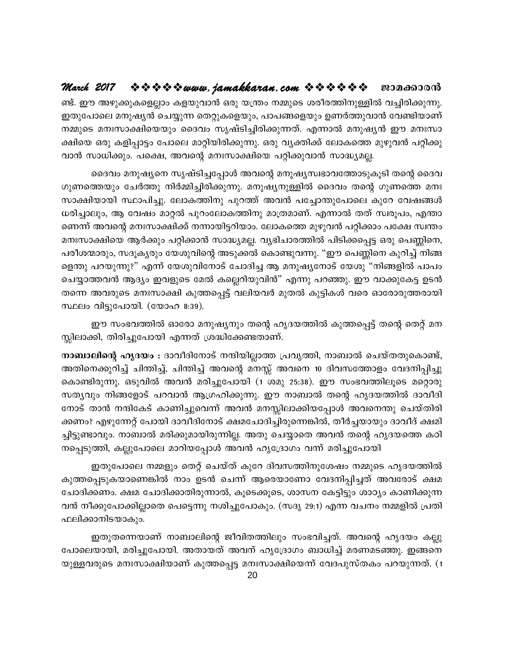ണ്ട്. ഈ അഴുക്കുകളെല്ലാം കളയുവാൻ ഒരു യന്ത്രം നമ്മുടെ ശരീരത്തിനുള്ളിൽ വച്ചിരിക്കുന്നു. ഇതുപോലെ മനുഷ്യൻ ചെയ്യുന്ന തെറ്റുകളെയും, പാപങ്ങളെയും ഉണർത്തുവാൻ വേണ്ടിയാണ് നമ്മുടെ മനഃസാക്ഷിയെയും ദൈവം സൃഷ്ടിച്ചിരിക്കുന്നത്. എന്നാൽ മനുഷ്യൻ ഈ മനഃസാ ക്ഷിയെ ഒരു കളിപ്പാട്ടം പോലെ മാറ്റിയിരിക്കുന്നു. ഒരു വ്യക്തിക്ക് ലോകത്തെ മുഴുവൻ പറ്റിക്കു വാൻ സാധിക്കും. പക്ഷെ, അവന്റെ മനഃസാക്ഷിയെ പറ്റിക്കുവാൻ സാദ്ധ്യമല്ല.

ദൈവം മനുഷ്യനെ സൃഷ്ടിച്ചപ്പോൾ അവന്റെ മനുഷ്യസ്വഭാവത്തോടുകൂടി തന്റെ ദൈവ ഗുണത്തെയും ചേർത്തു നിർമ്മിച്ചിരിക്കുന്നു. മനുഷ്യനുള്ളിൽ ദൈവം തന്റെ ഗുണത്തെ മനഃ സാക്ഷിയായി സ്ഥാപിച്ചു. ലോകത്തിനു പുറത്ത് അവൻ പച്ചോന്തുപോലെ കുറേ വേഷങ്ങൾ ധരിച്ചാലും, ആ വേഷം മാറ്റൽ പുറംലോകത്തിനു മാത്രമാണ്. എന്നാൽ തത് സ്വരൂപം, എന്താ ണെന്ന് അവന്റെ മനഃസാക്ഷിക്ക് നന്നായിട്ടറിയാം. ലോകത്തെ മുഴുവൻ പറ്റിക്കാം പക്ഷേ സ്വന്തം മനഃസാക്ഷിയെ ആർക്കും പറ്റിക്കാൻ സാദ്ധ്യമല്ല. വ്യഭിചാരത്തിൽ പിടിക്കപ്പെട്ട ഒരു പെണ്ണിനെ, പരീശന്മാരും, സദൂകൃരും യേശുവിന്റെ അടുക്കൽ കൊണ്ടുവന്നു. "ഈ പെണ്ണിനെ കുറിച്ച് നിങ്ങ ളെന്തു പറയുന്നു?" എന്ന് യേശുവിനോട് ചോദിച്ച ആ മനുഷ്യനോട് യേശു "നിങ്ങളിൽ പാപം ചെയ്യാത്തവൻ ആദ്യം ഇവളുടെ മേൽ കല്ലെറിയുവിൻ" എന്നു പറഞ്ഞു. ഈ വാക്കുകേട്ട ഉടൻ തന്നെ അവരുടെ മനഃസാക്ഷി കുത്തപ്പെട്ട് വലിയവർ മുതൽ കുട്ടികൾ വരെ ഓരോരുത്തരായി സ്ഥലം വിട്ടുപോയി. (യോഹ 8:39).

ഈ സംഭവത്തിൽ ഓരോ മനുഷ്യനും തന്റെ ഹൃദയത്തിൽ കുത്തപ്പെട്ട് തന്റെ തെറ്റ് മന സ്സിലാക്കി, തിരിച്ചുപോയി എന്നത് ശ്രദ്ധിക്കേണ്ടതാണ്.

നാബാലിന്റെ ഹൃദയം : ദാവീദിനോട് നന്ദിയില്ലാത്ത പ്രവൃത്തി, നാബാൽ ചെയ്തതുകൊണ്ട്, അതിനെക്കുറിച്ച് ചിന്തിച്ച്, ചിന്തിച്ച് അവന്റെ മനസ്സ് അവനെ 10 ദിവസത്തോളം വേദനിപ്പിച്ചു കൊണ്ടിരുന്നു. ഒടുവിൽ അവൻ മരിച്ചുപോയി (1 ശമു 25:38). ഈ സംഭവത്തിലൂടെ മറ്റൊരു സത്യവും നിങ്ങളോട് പറവാൻ ആഗ്രഹിക്കുന്നു. ഈ നാബാൽ തന്റെ ഹൃദയത്തിൽ ദാവീദി നോട് താൻ നന്ദികേട് കാണിച്ചുവെന്ന് അവൻ മനസ്സിലാക്കിയപ്പോൾ അവനെന്തു ചെയ്തിരി ക്കണം? എഴുന്നേറ്റ് പോയി ദാവീദിനോട് ക്ഷമചോദിച്ചിരുന്നെങ്കിൽ, തീർച്ചയായും ദാവീദ് ക്ഷമി ച്ചിട്ടുണ്ടാവും. നാബാൽ മരിക്കുമായിരുന്നില്ല. അതു ചെയ്യാതെ അവൻ തന്റെ ഹൃദയത്തെ കഠി നപ്പെടുത്തി, കല്ലുപോലെ മാറിയപ്പോൾ അവൻ ഹൃദ്രോഗം വന്ന് മരിച്ചുപോയി

ഇതുപോലെ നമ്മളും തെറ്റ് ചെയ്ത് കുറേ ദിവസത്തിനുശേഷം നമ്മുടെ ഹൃദയത്തിൽ കുത്തപ്പെടുകയാണെങ്കിൽ നാം ഉടൻ ചെന്ന് ആരെയാണോ വേദനിപ്പിച്ചത് അവരോട് ക്ഷമ ചോദിക്കണം. ക്ഷമ ചോദിക്കാതിരുന്നാൽ, കൂടെക്കൂടെ, ശാസന കേട്ടിട്ടും ശാഠ്യം കാണിക്കുന്ന വൻ നീക്കുപോക്കില്ലാതെ പെട്ടെന്നു നശിച്ചുപോകും. (സദൃ 29:1) എന്ന വചനം നമ്മളിൽ പ്രതി ഫലിക്കാനിടയാകും.

ഇതുതന്നെയാണ് നാബാലിന്റെ ജീവിതത്തിലും സംഭവിച്ചത്. അവന്റെ ഹൃദയം കല്ലു പോലെയായി, മരിച്ചുപോയി. അതായത് അവന് ഹൃദ്രോഗം ബാധിച്ച് മരണമടഞ്ഞു. ഇങ്ങനെ യുള്ളവരുടെ മനഃസാക്ഷിയാണ് കുത്തപ്പെട്ട മനഃസാക്ഷിയെന്ന് വേദപുസ്തകം പറയുന്നത്. (1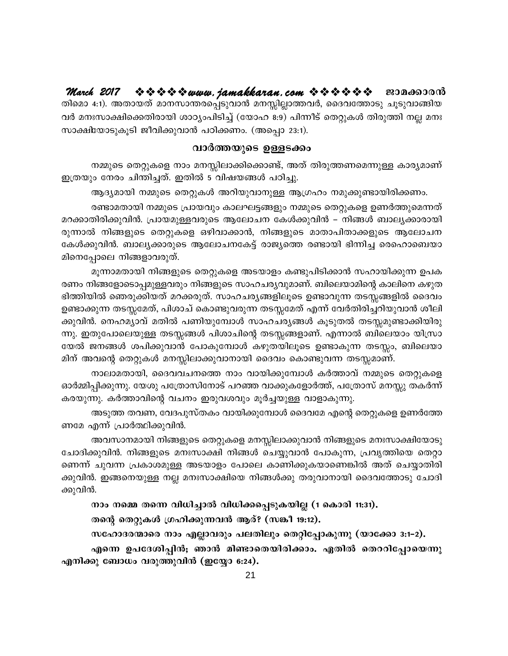March 2017 ❖❖❖❖※www.*jamakkaran.com* ❖❖❖❖❖◆ · æɔമക്കാരൻ തിമൊ 4:1). അതായത് മാനസാന്തരപ്പെടുവാൻ മനസ്സില്ലാത്തവർ, ദൈവത്തോടു ചൂടുവാങ്ങിയ വർ മനഃസാക്ഷിക്കെതിരായി ശാഠ്യംപിടിച്ച് (യോഹ 8:9) പിന്നീട് തെറ്റുകൾ തിരുത്തി നല്ല മനഃ സാക്ഷിയോടുകൂടി ജീവിക്കുവാൻ പഠിക്കണം. (അപ്പൊ 23:1).

#### വാർത്തയുടെ ഉള്ളടക്കം

നമ്മുടെ തെറ്റുകളെ നാം മനസ്സിലാക്കിക്കൊണ്ട്, അത് തിരുത്തണമെന്നുള്ള കാര്യമാണ് ഇത്രയും നേരം ചിന്തിച്ചത്. ഇതിൽ 5 വിഷയങ്ങൾ പഠിച്ചു.

ആദ്യമായി നമ്മുടെ തെറ്റുകൾ അറിയുവാനുള്ള ആഗ്രഹം നമുക്കുണ്ടായിരിക്കണം.

രണ്ടാമതായി നമ്മുടെ പ്രായവും കാലഘട്ടങ്ങളും നമ്മുടെ തെറ്റുകളെ ഉണർത്തുമെന്നത് മറക്കാതിരിക്കുവിൻ. പ്രായമുള്ളവരുടെ ആലോചന കേൾക്കുവിൻ – നിങ്ങൾ ബാല്യക്കാരായി രുന്നാൽ നിങ്ങളുടെ തെറ്റുകളെ ഒഴിവാക്കാൻ, നിങ്ങളുടെ മാതാപിതാക്കളുടെ ആലോചന കേൾക്കുവിൻ. ബാല്യക്കാരുടെ ആലോചനകേട്ട് രാജ്യത്തെ രണ്ടായി ഭിന്നിച്ച രെഹൊബെയാ മിനെപ്പോലെ നിങ്ങളാവരുത്.

മൂന്നാമതായി നിങ്ങളുടെ തെറ്റുകളെ അടയാളം കണ്ടുപിടിക്കാൻ സഹായിക്കുന്ന ഉപക രണം നിങ്ങളോടൊപ്പമുള്ളവരും നിങ്ങളുടെ സാഹചര്യവുമാണ്. ബിലെയാമിന്റെ കാലിനെ കഴുത ഭിത്തിയിൽ ഞെരുക്കിയത് മറക്കരുത്. സാഹചര്യങ്ങളിലൂടെ ഉണ്ടാവുന്ന തടസ്സങ്ങളിൽ ദൈവം ഉണ്ടാക്കുന്ന തടസ്സമേത്, പിശാച് കൊണ്ടുവരുന്ന തടസ്സമേത് എന്ന് വേർതിരിച്ചറിയുവാൻ ശീലി ക്കുവിൻ. നെഹമ്യാവ് മതിൽ പണിയുമ്പോൾ സാഹചര്യങ്ങൾ കൂടുതൽ തടസ്സമുണ്ടാക്കിയിരു ന്നു. ഇതുപോലെയുള്ള തടസ്സങ്ങൾ പിശാചിന്റെ തടസ്സങ്ങളാണ്. എന്നാൽ ബിലെയാം യിസ്രാ യേൽ ജനങ്ങൾ ശപിക്കുവാൻ പോകുമ്പോൾ കഴുതയിലൂടെ ഉണ്ടാകുന്ന തടസ്സം, ബിലെയാ മിന് അവന്റെ തെറ്റുകൾ മനസ്സിലാക്കുവാനായി ദൈവം കൊണ്ടുവന്ന തടസ്സമാണ്.

നാലാമതായി, ദൈവവചനത്തെ നാം വായിക്കുമ്പോൾ കർത്താവ് നമ്മുടെ തെറ്റുകളെ ഓർമ്മിപ്പിക്കുന്നു. യേശു പത്രോസിനോട് പറഞ്ഞ വാക്കുകളോർത്ത്, പത്രോസ് മനസ്സു തകർന്ന് കരയുന്നു. കർത്താവിന്റെ വചനം ഇരുവശവും മൂർച്ചയുള്ള വാളാകുന്നു.

അടുത്ത തവണ, വേദപുസ്തകം വായിക്കുമ്പോൾ ദൈവമേ എന്റെ തെറ്റുകളെ ഉണർത്തേ ണമേ എന്ന് പ്രാർത്ഥിക്കുവിൻ.

അവസാനമായി നിങ്ങളുടെ തെറ്റുകളെ മനസ്സിലാക്കുവാൻ നിങ്ങളുടെ മനഃസാക്ഷിയോടു ചോദിക്കുവിൻ. നിങ്ങളുടെ മനഃസാക്ഷി നിങ്ങൾ ചെയ്യുവാൻ പോകുന്ന, പ്രവൃത്തിയെ തെറ്റാ ണെന്ന് ചുവന്ന പ്രകാശമുള്ള അടയാളം പോലെ കാണിക്കുകയാണെങ്കിൽ അത് ചെയ്യാതിരി ക്കുവിൻ. ഇങ്ങനെയുള്ള നല്ല മനഃസാക്ഷിയെ നിങ്ങൾക്കു തരുവാനായി ദൈവത്തോടു ചോദി ക്കുവിൻ.

നാം നമ്മെ തന്നെ വിധിച്ചാൽ വിധിക്കപ്പെടുകയില്ല (1 കൊരി 11:31).

തന്റെ തെറ്റുകൾ ഗ്രഹിക്കുന്നവൻ ആര്? (സങ്കീ 19:12).

സഹോദരന്മാരെ നാം എല്ലാവരും പലതിലും തെറ്റിപ്പോകുന്നു (യാക്കോ 3:1-2).

എന്നെ ഉപദേശിപ്പിൻ; ഞാൻ മിണ്ടാതെയിരിക്കാം. ഏതിൽ തെററിപ്പോയെന്നു എനിക്കു ബോധം വരുത്തുവിൻ (ഇയ്യോ 6:24).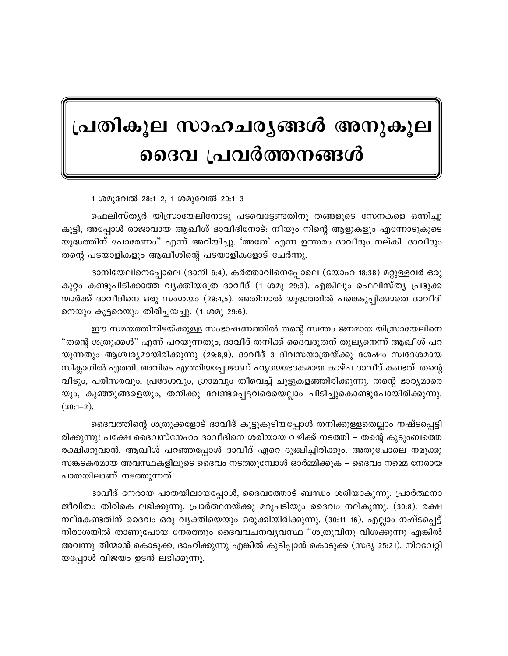## പ്രതികൂല സാഹചര്യങ്ങൾ അനുകൂല ദൈവ പ്രവർത്തനങ്ങൾ

1 ശമുവേൽ 28:1-2, 1 ശമുവേൽ 29:1-3

ഫെലിസ്തൃർ യിസ്രായേലിനോടു പടവെട്ടേണ്ടതിനു തങ്ങളുടെ സേനകളെ ഒന്നിച്ചു കൂട്ടി; അപ്പോൾ രാജാവായ ആഖീശ് ദാവീദിനോട്: നീയും നിന്റെ ആളുകളും എന്നോടുകൂടെ യുദ്ധത്തിന് പോരേണം" എന്ന് അറിയിച്ചു. 'അതേ' എന്ന ഉത്തരം ദാവീദും നല്കി. ദാവീദും തന്റെ പടയാളികളും ആഖീശിന്റെ പടയാളികളോട് ചേർന്നു.

ദാനിയേലിനെപ്പോലെ (ദാനി 6:4), കർത്താവിനെപ്പോലെ (യോഹ 18:38) മറ്റുള്ളവർ ഒരു കുറ്റം കണ്ടുപിടിക്കാത്ത വ്യക്തിയത്രേ ദാവീദ് (1 ശമു 29:3). എങ്കിലും ഫെലിസ്ത്യ പ്രഭുക്ക ന്മാർക്ക് ദാവീദിനെ ഒരു സംശയം (29:4,5). അതിനാൽ യുദ്ധത്തിൽ പങ്കെടുപ്പിക്കാതെ ദാവീദി നെയും കൂട്ടരെയും തിരിച്ചയച്ചു. (1 ശമു 29:6).

ഈ സമയത്തിനിടയ്ക്കുള്ള സംഭാഷണത്തിൽ തന്റെ സ്വന്തം ജനമായ യിസ്രായേലിനെ "തന്റെ ശത്രുക്കൾ" എന്ന് പറയുന്നതും, ദാവീദ് തനിക്ക് ദൈവദുതന് തുല്യനെന്ന് ആഖീശ് പറ യുന്നതും ആശ്ചര്യമായിരിക്കുന്നു (29:8,9). ദാവീദ് 3 ദിവസയാത്രയ്ക്കു ശേഷം സ്വദേശമായ സിക്ലാഗിൽ എത്തി. അവിടെ എത്തിയപ്പോഴാണ് ഹൃദയഭേദകമായ കാഴ്ച ദാവീദ് കണ്ടത്. തന്റെ വീടും, പരിസരവും, പ്രദേശവും, ഗ്രാമവും തീവെച്ച് ചുട്ടുകളഞ്ഞിരിക്കുന്നു. തന്റെ ഭാര്യമാരെ യും, കുഞ്ഞുങ്ങളെയും, തനിക്കു വേണ്ടപ്പെട്ടവരെയെല്ലാം പിടിച്ചുകൊണ്ടുപോയിരിക്കുന്നു.  $(30:1-2).$ 

ദൈവത്തിന്റെ ശത്രുക്കളോട് ദാവീദ് കൂട്ടുകൂടിയപ്പോൾ തനിക്കുള്ളതെല്ലാം നഷ്ടപ്പെട്ടി രിക്കുന്നു! പക്ഷേ ദൈവസ്നേഹം ദാവീദിനെ ശരിയായ വഴിക്ക് നടത്തി – തന്റെ കുടുംബത്തെ രക്ഷിക്കുവാൻ. ആഖീശ് പറഞ്ഞപ്പോൾ ദാവീദ് ഏറെ ദുഃഖിച്ചിരിക്കും. അതുപോലെ നമുക്കു സങ്കടകരമായ അവസ്ഥകളിലൂടെ ദൈവം നടത്തുമ്പോൾ ഓർമ്മിക്കുക – ദൈവം നമ്മെ നേരായ പാതയിലാണ് നടത്തുന്നത്!

ദാവീദ് നേരായ പാതയിലായപ്പോൾ, ദൈവത്തോട് ബന്ധം ശരിയാകുന്നു. പ്രാർത്ഥനാ ജീവിതം തിരികെ ലഭിക്കുന്നു. പ്രാർത്ഥനയ്ക്കു മറുപടിയും ദൈവം നല്കുന്നു. (30:8). രക്ഷ നല്കേണ്ടതിന് ദൈവം ഒരു വ്യക്തിയെയും ഒരുക്കിയിരിക്കുന്നു. (30:11–16). എല്ലാം നഷ്ടപ്പെട്ട് നിരാശയിൽ താണുപോയ നേരത്തും ദൈവവചനവൃവസ്ഥ "ശത്രുവിനു വിശക്കുന്നു എങ്കിൽ അവന്നു തിന്മാൻ കൊടുക്ക; ദാഹിക്കുന്നു എങ്കിൽ കുടിപ്പാൻ കൊടുക്ക (സദൃ 25:21). നിറവേറ്റി യപ്പോൾ വിജയം ഉടൻ ലഭിക്കുന്നു.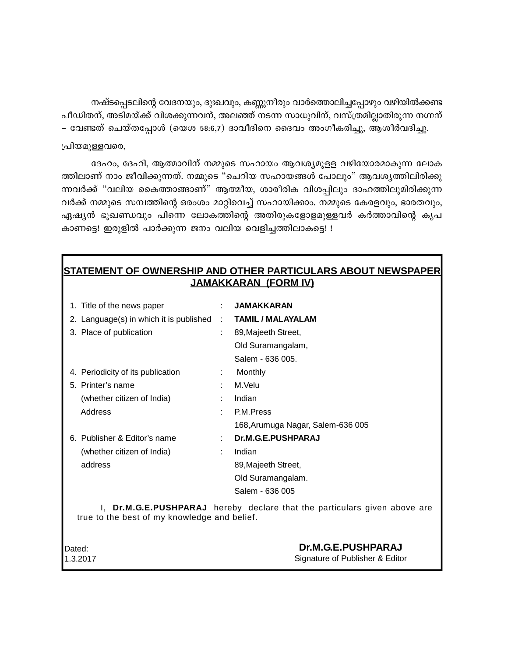നഷ്ടപ്പെടലിന്റെ വേദനയും, ദുഃഖവും, കണ്ണുനീരും വാർത്തൊലിച്ചപ്പോഴും വഴിയിൽക്കണ്ട പീഡിതന്, അടിമയ്ക്ക് വിശക്കുന്നവന്, അലഞ്ഞ് നടന്ന സാധുവിന്, വസ്ത്രമില്ലാതിരുന്ന നഗ്നന് – വേണ്ടത് ചെയ്തപ്പോൾ (യെശ 58:6,7) ദാവീദിനെ ദൈവം അംഗീകരിച്ചു, ആശീർവദിച്ചു.

#### പ്രിയമുള്ളവരെ,

ദേഹം, ദേഹി, ആത്മാവിന് നമ്മുടെ സഹായം ആവശ്യമുളള വഴിയോരമാകുന്ന ലോക ത്തിലാണ് നാം ജീവിക്കുന്നത്. നമ്മുടെ "ചെറിയ സഹായങ്ങൾ പോലും" ആവശൃത്തിലിരിക്കു ന്നവർക്ക് "വലിയ കൈത്താങ്ങാണ്" ആത്മീയ, ശാരീരിക വിശപ്പിലും ദാഹത്തിലുമിരിക്കുന്ന വർക്ക് നമ്മുടെ സമ്പത്തിന്റെ ഒരംശം മാറ്റിവെച്ച് സഹായിക്കാം. നമ്മുടെ കേരളവും, ഭാരതവും, ഏഷ്യൻ ഭൂഖണ്ഡവും പിന്നെ ലോകത്തിന്റെ അതിരുകളോളമുള്ളവർ കർത്താവിന്റെ കൃപ കാണട്ടെ! ഇരുളിൽ പാർക്കുന്ന ജനം വലിയ വെളിച്ചത്തിലാകട്ടെ! !

#### **STATEMENT OF OWNERSHIP AND OTHER PARTICULARS ABOUT NEWSPAPER JAMAKKARAN (FORM IV)**

| 1. Title of the news paper                   |   | <b>JAMAKKARAN</b>                                                         |
|----------------------------------------------|---|---------------------------------------------------------------------------|
| 2. Language(s) in which it is published :    |   | <b>TAMIL / MALAYALAM</b>                                                  |
| 3. Place of publication                      |   | 89, Majeeth Street,                                                       |
|                                              |   | Old Suramangalam,                                                         |
|                                              |   | Salem - 636 005.                                                          |
| 4. Periodicity of its publication            |   | Monthly                                                                   |
| 5. Printer's name                            |   | M.Velu                                                                    |
| (whether citizen of India)                   |   | Indian                                                                    |
| Address                                      |   | P.M.Press                                                                 |
|                                              |   | 168, Arumuga Nagar, Salem-636 005                                         |
| 6. Publisher & Editor's name                 | ÷ | Dr.M.G.E.PUSHPARAJ                                                        |
| (whether citizen of India)                   |   | Indian                                                                    |
| address                                      |   | 89, Majeeth Street,                                                       |
|                                              |   | Old Suramangalam.                                                         |
|                                              |   | Salem - 636 005                                                           |
| true to the best of my knowledge and belief. |   | I, Dr.M.G.E.PUSHPARAJ hereby declare that the particulars given above are |

| Dated:   | Dr.M.G.E.PUSHPARAJ              |
|----------|---------------------------------|
| 1.3.2017 | Signature of Publisher & Editor |